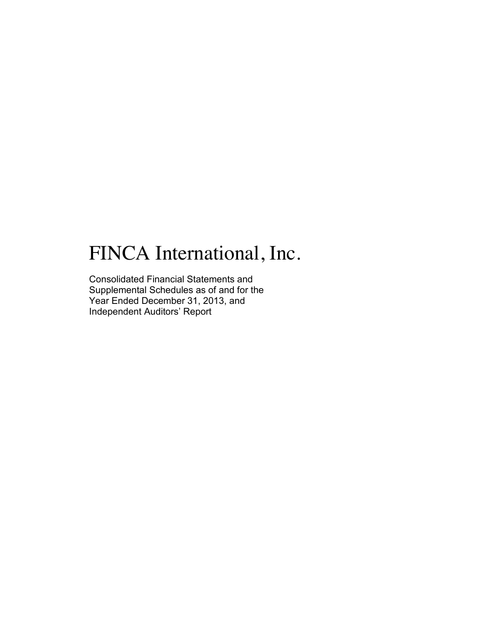# FINCA International, Inc.

Consolidated Financial Statements and Supplemental Schedules as of and for the Year Ended December 31, 2013, and Independent Auditors' Report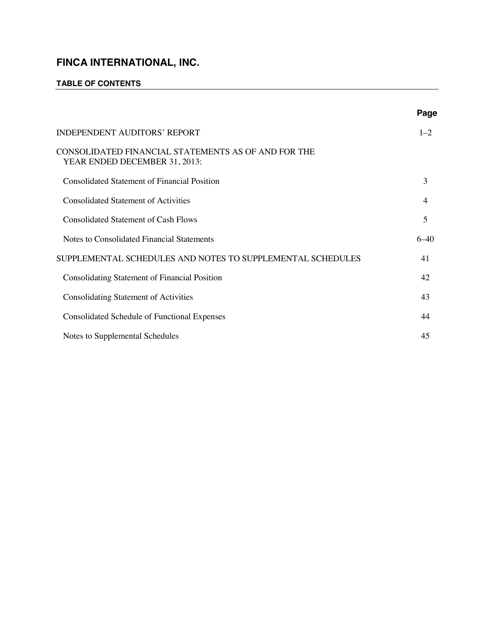# **TABLE OF CONTENTS**

|                                                                                      | Page     |
|--------------------------------------------------------------------------------------|----------|
| <b>INDEPENDENT AUDITORS' REPORT</b>                                                  | $1 - 2$  |
| CONSOLIDATED FINANCIAL STATEMENTS AS OF AND FOR THE<br>YEAR ENDED DECEMBER 31, 2013: |          |
| <b>Consolidated Statement of Financial Position</b>                                  | 3        |
| <b>Consolidated Statement of Activities</b>                                          | 4        |
| <b>Consolidated Statement of Cash Flows</b>                                          | 5        |
| Notes to Consolidated Financial Statements                                           | $6 - 40$ |
| SUPPLEMENTAL SCHEDULES AND NOTES TO SUPPLEMENTAL SCHEDULES                           | 41       |
| Consolidating Statement of Financial Position                                        | 42       |
| <b>Consolidating Statement of Activities</b>                                         | 43       |
| <b>Consolidated Schedule of Functional Expenses</b>                                  | 44       |
| Notes to Supplemental Schedules                                                      | 45       |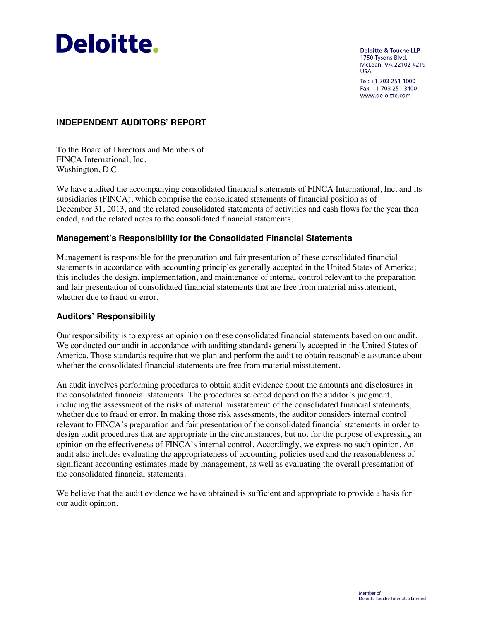

**Deloitte & Touche LLP** 1750 Tysons Blvd. McLean, VA 22102-4219 **USA** 

Tel: +1 703 251 1000 Fax: +1 703 251 3400 www.deloitte.com

## **INDEPENDENT AUDITORS' REPORT**

To the Board of Directors and Members of FINCA International, Inc. Washington, D.C.

We have audited the accompanying consolidated financial statements of FINCA International, Inc. and its subsidiaries (FINCA), which comprise the consolidated statements of financial position as of December 31, 2013, and the related consolidated statements of activities and cash flows for the year then ended, and the related notes to the consolidated financial statements.

### **Management's Responsibility for the Consolidated Financial Statements**

Management is responsible for the preparation and fair presentation of these consolidated financial statements in accordance with accounting principles generally accepted in the United States of America; this includes the design, implementation, and maintenance of internal control relevant to the preparation and fair presentation of consolidated financial statements that are free from material misstatement, whether due to fraud or error.

#### **Auditors' Responsibility**

Our responsibility is to express an opinion on these consolidated financial statements based on our audit. We conducted our audit in accordance with auditing standards generally accepted in the United States of America. Those standards require that we plan and perform the audit to obtain reasonable assurance about whether the consolidated financial statements are free from material misstatement.

An audit involves performing procedures to obtain audit evidence about the amounts and disclosures in the consolidated financial statements. The procedures selected depend on the auditor's judgment, including the assessment of the risks of material misstatement of the consolidated financial statements, whether due to fraud or error. In making those risk assessments, the auditor considers internal control relevant to FINCA's preparation and fair presentation of the consolidated financial statements in order to design audit procedures that are appropriate in the circumstances, but not for the purpose of expressing an opinion on the effectiveness of FINCA's internal control. Accordingly, we express no such opinion. An audit also includes evaluating the appropriateness of accounting policies used and the reasonableness of significant accounting estimates made by management, as well as evaluating the overall presentation of the consolidated financial statements.

We believe that the audit evidence we have obtained is sufficient and appropriate to provide a basis for our audit opinion.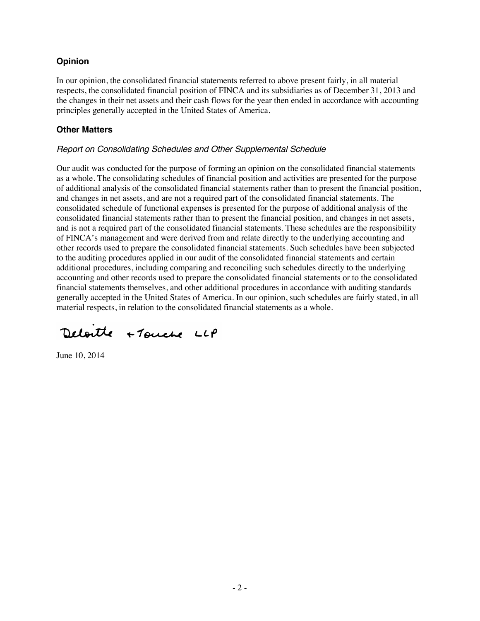# **Opinion**

In our opinion, the consolidated financial statements referred to above present fairly, in all material respects, the consolidated financial position of FINCA and its subsidiaries as of December 31, 2013 and the changes in their net assets and their cash flows for the year then ended in accordance with accounting principles generally accepted in the United States of America.

# **Other Matters**

# *Report on Consolidating Schedules and Other Supplemental Schedule*

Our audit was conducted for the purpose of forming an opinion on the consolidated financial statements as a whole. The consolidating schedules of financial position and activities are presented for the purpose of additional analysis of the consolidated financial statements rather than to present the financial position, and changes in net assets, and are not a required part of the consolidated financial statements. The consolidated schedule of functional expenses is presented for the purpose of additional analysis of the consolidated financial statements rather than to present the financial position, and changes in net assets, and is not a required part of the consolidated financial statements. These schedules are the responsibility of FINCA's management and were derived from and relate directly to the underlying accounting and other records used to prepare the consolidated financial statements. Such schedules have been subjected to the auditing procedures applied in our audit of the consolidated financial statements and certain additional procedures, including comparing and reconciling such schedules directly to the underlying accounting and other records used to prepare the consolidated financial statements or to the consolidated financial statements themselves, and other additional procedures in accordance with auditing standards generally accepted in the United States of America. In our opinion, such schedules are fairly stated, in all material respects, in relation to the consolidated financial statements as a whole.

Deloitte +Touche LLP

June 10, 2014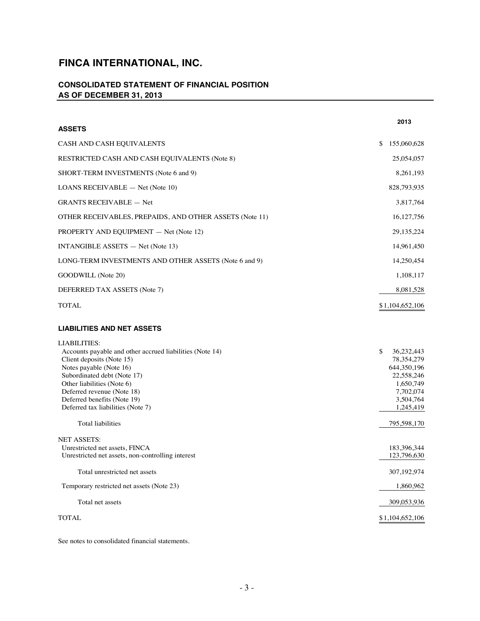# **CONSOLIDATED STATEMENT OF FINANCIAL POSITION AS OF DECEMBER 31, 2013**

| <b>ASSETS</b>                                                                                                                                                                                                                                                                                                                      | 2013                                                                                                                |
|------------------------------------------------------------------------------------------------------------------------------------------------------------------------------------------------------------------------------------------------------------------------------------------------------------------------------------|---------------------------------------------------------------------------------------------------------------------|
| CASH AND CASH EQUIVALENTS                                                                                                                                                                                                                                                                                                          | \$<br>155,060,628                                                                                                   |
| RESTRICTED CASH AND CASH EQUIVALENTS (Note 8)                                                                                                                                                                                                                                                                                      | 25,054,057                                                                                                          |
| SHORT-TERM INVESTMENTS (Note 6 and 9)                                                                                                                                                                                                                                                                                              | 8,261,193                                                                                                           |
| <b>LOANS RECEIVABLE</b> $-$ Net (Note 10)                                                                                                                                                                                                                                                                                          | 828,793,935                                                                                                         |
| <b>GRANTS RECEIVABLE - Net</b>                                                                                                                                                                                                                                                                                                     | 3,817,764                                                                                                           |
| OTHER RECEIVABLES, PREPAIDS, AND OTHER ASSETS (Note 11)                                                                                                                                                                                                                                                                            | 16, 127, 756                                                                                                        |
| PROPERTY AND EQUIPMENT - Net (Note 12)                                                                                                                                                                                                                                                                                             | 29, 135, 224                                                                                                        |
| INTANGIBLE ASSETS $-$ Net (Note 13)                                                                                                                                                                                                                                                                                                | 14,961,450                                                                                                          |
| LONG-TERM INVESTMENTS AND OTHER ASSETS (Note 6 and 9)                                                                                                                                                                                                                                                                              | 14,250,454                                                                                                          |
| GOODWILL (Note 20)                                                                                                                                                                                                                                                                                                                 | 1,108,117                                                                                                           |
| DEFERRED TAX ASSETS (Note 7)                                                                                                                                                                                                                                                                                                       | 8,081,528                                                                                                           |
| <b>TOTAL</b>                                                                                                                                                                                                                                                                                                                       | \$1,104,652,106                                                                                                     |
| <b>LIABILITIES AND NET ASSETS</b>                                                                                                                                                                                                                                                                                                  |                                                                                                                     |
| <b>LIABILITIES:</b><br>Accounts payable and other accrued liabilities (Note 14)<br>Client deposits (Note 15)<br>Notes payable (Note 16)<br>Subordinated debt (Note 17)<br>Other liabilities (Note 6)<br>Deferred revenue (Note 18)<br>Deferred benefits (Note 19)<br>Deferred tax liabilities (Note 7)<br><b>Total liabilities</b> | \$<br>36,232,443<br>78, 354, 279<br>644, 350, 196<br>22,558,246<br>1,650,749<br>7,702,074<br>3,504,764<br>1,245,419 |
|                                                                                                                                                                                                                                                                                                                                    | 795,598,170                                                                                                         |
| NET ASSETS:                                                                                                                                                                                                                                                                                                                        |                                                                                                                     |

| 111111001101<br>Unrestricted net assets, FINCA<br>Unrestricted net assets, non-controlling interest | 183,396,344<br>123,796,630 |
|-----------------------------------------------------------------------------------------------------|----------------------------|
| Total unrestricted net assets                                                                       | 307, 192, 974              |
| Temporary restricted net assets (Note 23)                                                           | 1,860,962                  |
| Total net assets                                                                                    | 309,053,936                |
| <b>TOTAL</b>                                                                                        | \$1,104,652,106            |

See notes to consolidated financial statements.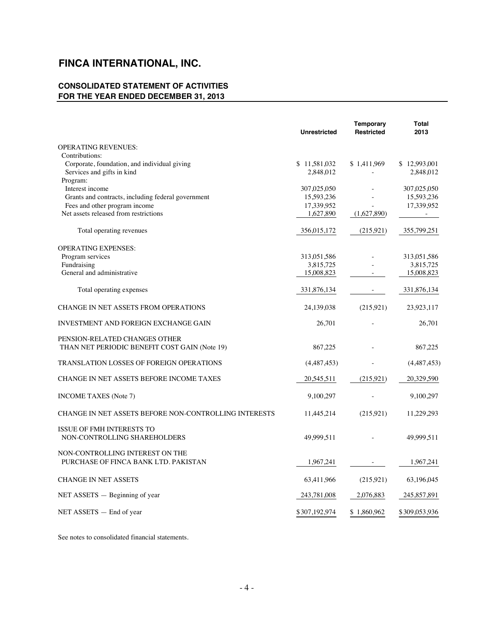# **CONSOLIDATED STATEMENT OF ACTIVITIES FOR THE YEAR ENDED DECEMBER 31, 2013**

|                                                                                | <b>Unrestricted</b> | <b>Temporary</b><br><b>Restricted</b> | Total<br>2013 |
|--------------------------------------------------------------------------------|---------------------|---------------------------------------|---------------|
| <b>OPERATING REVENUES:</b>                                                     |                     |                                       |               |
| Contributions:                                                                 |                     |                                       |               |
| Corporate, foundation, and individual giving                                   | \$11,581,032        | \$1,411,969                           | \$12,993,001  |
| Services and gifts in kind                                                     | 2,848,012           |                                       | 2,848,012     |
| Program:                                                                       |                     |                                       |               |
| Interest income                                                                | 307,025,050         |                                       | 307,025,050   |
| Grants and contracts, including federal government                             | 15,593,236          |                                       | 15,593,236    |
| Fees and other program income                                                  | 17,339,952          |                                       | 17,339,952    |
| Net assets released from restrictions                                          | 1,627,890           | (1,627,890)                           |               |
| Total operating revenues                                                       | 356,015,172         | (215, 921)                            | 355,799,251   |
| <b>OPERATING EXPENSES:</b>                                                     |                     |                                       |               |
| Program services                                                               | 313,051,586         |                                       | 313,051,586   |
| Fundraising                                                                    | 3,815,725           |                                       | 3,815,725     |
| General and administrative                                                     | 15,008,823          |                                       | 15,008,823    |
| Total operating expenses                                                       | 331,876,134         |                                       | 331,876,134   |
| <b>CHANGE IN NET ASSETS FROM OPERATIONS</b>                                    | 24,139,038          | (215,921)                             | 23,923,117    |
| <b>INVESTMENT AND FOREIGN EXCHANGE GAIN</b>                                    | 26,701              |                                       | 26,701        |
| PENSION-RELATED CHANGES OTHER<br>THAN NET PERIODIC BENEFIT COST GAIN (Note 19) | 867,225             |                                       | 867,225       |
| <b>TRANSLATION LOSSES OF FOREIGN OPERATIONS</b>                                | (4,487,453)         |                                       | (4,487,453)   |
| CHANGE IN NET ASSETS BEFORE INCOME TAXES                                       | 20,545,511          | (215, 921)                            | 20,329,590    |
| <b>INCOME TAXES</b> (Note 7)                                                   | 9,100,297           |                                       | 9,100,297     |
| CHANGE IN NET ASSETS BEFORE NON-CONTROLLING INTERESTS                          | 11,445,214          | (215,921)                             | 11,229,293    |
| <b>ISSUE OF FMH INTERESTS TO</b><br>NON-CONTROLLING SHAREHOLDERS               | 49,999,511          |                                       | 49,999,511    |
| NON-CONTROLLING INTEREST ON THE<br>PURCHASE OF FINCA BANK LTD. PAKISTAN        | 1,967,241           |                                       | 1,967,241     |
| <b>CHANGE IN NET ASSETS</b>                                                    | 63,411,966          | (215,921)                             | 63,196,045    |
| $NET$ ASSETS $-$ Beginning of year                                             | 243,781,008         | 2,076,883                             | 245, 857, 891 |
| $NET ASSETS - End of year$                                                     | \$307,192,974       | \$1,860,962                           | \$309,053,936 |

See notes to consolidated financial statements.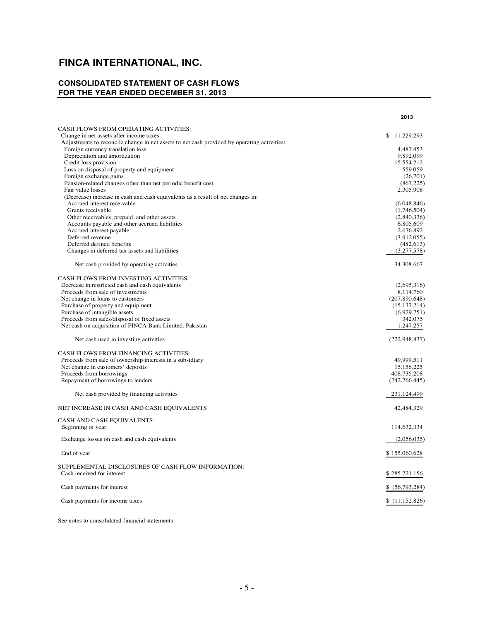# **CONSOLIDATED STATEMENT OF CASH FLOWS FOR THE YEAR ENDED DECEMBER 31, 2013**

|                                                                                             | 2013            |
|---------------------------------------------------------------------------------------------|-----------------|
| CASH FLOWS FROM OPERATING ACTIVITIES:                                                       |                 |
| Change in net assets after income taxes                                                     | \$11,229,293    |
| Adjustments to reconcile change in net assets to net cash provided by operating activities: |                 |
| Foreign currency translation loss                                                           | 4,487,453       |
| Depreciation and amortization                                                               | 9,892,099       |
| Credit loss provision                                                                       | 15,554,212      |
| Loss on disposal of property and equipment                                                  | 559,059         |
| Foreign exchange gains                                                                      | (26,701)        |
| Pension-related changes other than net periodic benefit cost                                | (867, 225)      |
| Fair value losses                                                                           | 2,305,908       |
| (Decrease) increase in cash and cash equivalents as a result of net changes in:             |                 |
| Accrued interest receivable                                                                 | (6,048,846)     |
| Grants receivable                                                                           | (1,746,504)     |
| Other receivables, prepaid, and other assets                                                | (2,840,336)     |
| Accounts payable and other accrued liabilities                                              | 6,805,609       |
| Accrued interest payable                                                                    | 2,676,892       |
| Deferred revenue                                                                            | (3,912,055)     |
| Deferred defined benefits                                                                   | (482, 613)      |
| Changes in deferred tax assets and liabilities                                              | (3,277,578)     |
| Net cash provided by operating activities                                                   | 34,308,667      |
| CASH FLOWS FROM INVESTING ACTIVITIES:                                                       |                 |
| Decrease in restricted cash and cash equivalents                                            | (2,695,316)     |
| Proceeds from sale of investments                                                           | 8,114,760       |
| Net change in loans to customers                                                            | (207, 890, 648) |
| Purchase of property and equipment                                                          | (15, 137, 214)  |
| Purchase of intangible assets                                                               | (6,929,751)     |
| Proceeds from sales/disposal of fixed assets                                                | 342,075         |
| Net cash on acquisition of FINCA Bank Limited, Pakistan                                     | 1,247,257       |
| Net cash used in investing activities                                                       | (222, 948, 837) |
| CASH FLOWS FROM FINANCING ACTIVITIES:                                                       |                 |
| Proceeds from sale of ownership interests in a subsidiary                                   | 49,999,511      |
| Net change in customers' deposits                                                           | 15, 156, 225    |
| Proceeds from borrowings                                                                    | 408,735,208     |
| Repayment of borrowings to lenders                                                          | (242,766,445)   |
| Net cash provided by financing activities                                                   | 231,124,499     |
| NET INCREASE IN CASH AND CASH EQUIVALENTS                                                   | 42,484,329      |
| CASH AND CASH EQUIVALENTS:                                                                  |                 |
| Beginning of year                                                                           | 114,632,334     |
| Exchange losses on cash and cash equivalents                                                | (2,056,035)     |
| End of year                                                                                 | \$155,060,628   |
|                                                                                             |                 |
| SUPPLEMENTAL DISCLOSURES OF CASH FLOW INFORMATION:<br>Cash received for interest            | \$285,721,156   |
|                                                                                             |                 |
| Cash payments for interest                                                                  | \$ (56,793,284) |
|                                                                                             |                 |
| Cash payments for income taxes                                                              | \$(11,152,826)  |

See notes to consolidated financial statements.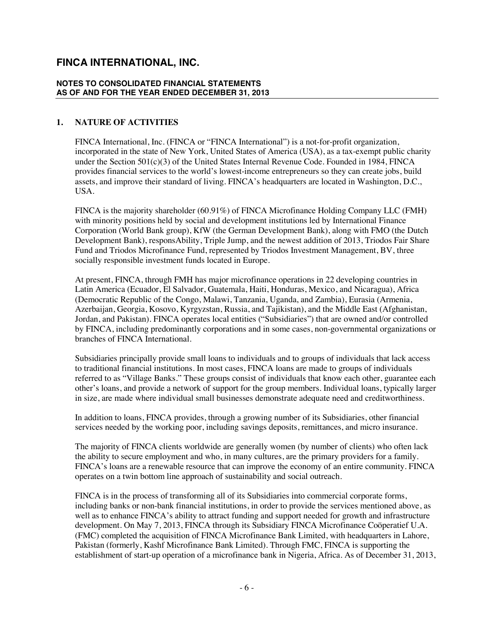#### **NOTES TO CONSOLIDATED FINANCIAL STATEMENTS AS OF AND FOR THE YEAR ENDED DECEMBER 31, 2013**

#### **1. NATURE OF ACTIVITIES**

FINCA International, Inc. (FINCA or "FINCA International") is a not-for-profit organization, incorporated in the state of New York, United States of America (USA), as a tax-exempt public charity under the Section 501(c)(3) of the United States Internal Revenue Code. Founded in 1984, FINCA provides financial services to the world's lowest-income entrepreneurs so they can create jobs, build assets, and improve their standard of living. FINCA's headquarters are located in Washington, D.C., USA.

FINCA is the majority shareholder (60.91%) of FINCA Microfinance Holding Company LLC (FMH) with minority positions held by social and development institutions led by International Finance Corporation (World Bank group), KfW (the German Development Bank), along with FMO (the Dutch Development Bank), responsAbility, Triple Jump, and the newest addition of 2013, Triodos Fair Share Fund and Triodos Microfinance Fund, represented by Triodos Investment Management, BV, three socially responsible investment funds located in Europe.

At present, FINCA, through FMH has major microfinance operations in 22 developing countries in Latin America (Ecuador, El Salvador, Guatemala, Haiti, Honduras, Mexico, and Nicaragua), Africa (Democratic Republic of the Congo, Malawi, Tanzania, Uganda, and Zambia), Eurasia (Armenia, Azerbaijan, Georgia, Kosovo, Kyrgyzstan, Russia, and Tajikistan), and the Middle East (Afghanistan, Jordan, and Pakistan). FINCA operates local entities ("Subsidiaries") that are owned and/or controlled by FINCA, including predominantly corporations and in some cases, non-governmental organizations or branches of FINCA International.

Subsidiaries principally provide small loans to individuals and to groups of individuals that lack access to traditional financial institutions. In most cases, FINCA loans are made to groups of individuals referred to as "Village Banks." These groups consist of individuals that know each other, guarantee each other's loans, and provide a network of support for the group members. Individual loans, typically larger in size, are made where individual small businesses demonstrate adequate need and creditworthiness.

In addition to loans, FINCA provides, through a growing number of its Subsidiaries, other financial services needed by the working poor, including savings deposits, remittances, and micro insurance.

The majority of FINCA clients worldwide are generally women (by number of clients) who often lack the ability to secure employment and who, in many cultures, are the primary providers for a family. FINCA's loans are a renewable resource that can improve the economy of an entire community. FINCA operates on a twin bottom line approach of sustainability and social outreach.

FINCA is in the process of transforming all of its Subsidiaries into commercial corporate forms, including banks or non-bank financial institutions, in order to provide the services mentioned above, as well as to enhance FINCA's ability to attract funding and support needed for growth and infrastructure development. On May 7, 2013, FINCA through its Subsidiary FINCA Microfinance Coöperatief U.A. (FMC) completed the acquisition of FINCA Microfinance Bank Limited, with headquarters in Lahore, Pakistan (formerly, Kashf Microfinance Bank Limited). Through FMC, FINCA is supporting the establishment of start-up operation of a microfinance bank in Nigeria, Africa. As of December 31, 2013,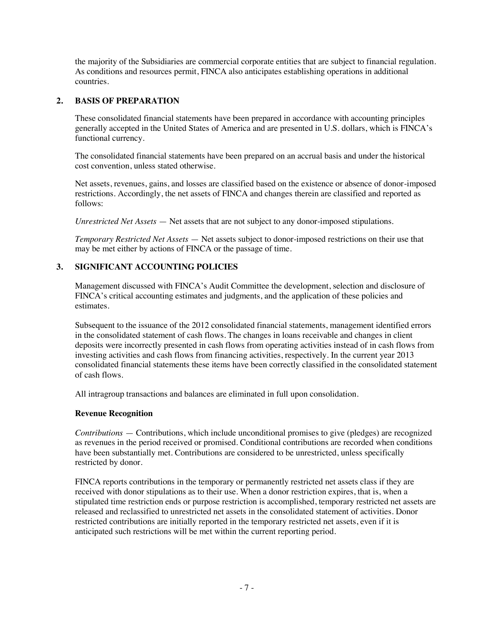the majority of the Subsidiaries are commercial corporate entities that are subject to financial regulation. As conditions and resources permit, FINCA also anticipates establishing operations in additional countries.

### **2. BASIS OF PREPARATION**

These consolidated financial statements have been prepared in accordance with accounting principles generally accepted in the United States of America and are presented in U.S. dollars, which is FINCA's functional currency.

The consolidated financial statements have been prepared on an accrual basis and under the historical cost convention, unless stated otherwise.

Net assets, revenues, gains, and losses are classified based on the existence or absence of donor-imposed restrictions. Accordingly, the net assets of FINCA and changes therein are classified and reported as follows:

*Unrestricted Net Assets* — Net assets that are not subject to any donor-imposed stipulations.

*Temporary Restricted Net Assets* — Net assets subject to donor-imposed restrictions on their use that may be met either by actions of FINCA or the passage of time.

# **3. SIGNIFICANT ACCOUNTING POLICIES**

Management discussed with FINCA's Audit Committee the development, selection and disclosure of FINCA's critical accounting estimates and judgments, and the application of these policies and estimates.

Subsequent to the issuance of the 2012 consolidated financial statements, management identified errors in the consolidated statement of cash flows. The changes in loans receivable and changes in client deposits were incorrectly presented in cash flows from operating activities instead of in cash flows from investing activities and cash flows from financing activities, respectively. In the current year 2013 consolidated financial statements these items have been correctly classified in the consolidated statement of cash flows.

All intragroup transactions and balances are eliminated in full upon consolidation.

#### **Revenue Recognition**

*Contributions* — Contributions, which include unconditional promises to give (pledges) are recognized as revenues in the period received or promised. Conditional contributions are recorded when conditions have been substantially met. Contributions are considered to be unrestricted, unless specifically restricted by donor.

FINCA reports contributions in the temporary or permanently restricted net assets class if they are received with donor stipulations as to their use. When a donor restriction expires, that is, when a stipulated time restriction ends or purpose restriction is accomplished, temporary restricted net assets are released and reclassified to unrestricted net assets in the consolidated statement of activities. Donor restricted contributions are initially reported in the temporary restricted net assets, even if it is anticipated such restrictions will be met within the current reporting period.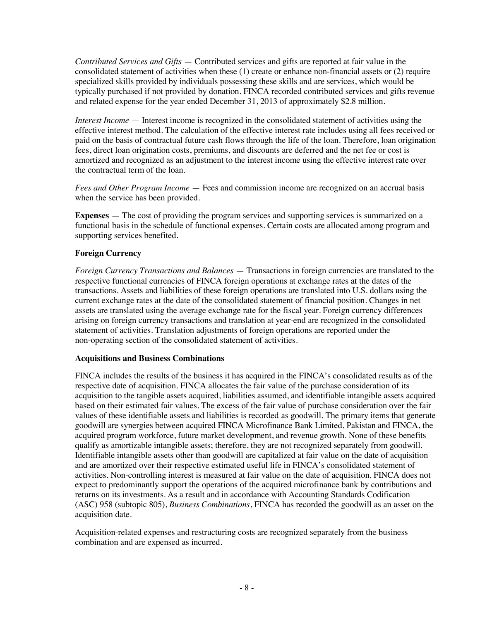*Contributed Services and Gifts* — Contributed services and gifts are reported at fair value in the consolidated statement of activities when these (1) create or enhance non-financial assets or (2) require specialized skills provided by individuals possessing these skills and are services, which would be typically purchased if not provided by donation. FINCA recorded contributed services and gifts revenue and related expense for the year ended December 31, 2013 of approximately \$2.8 million.

*Interest Income* — Interest income is recognized in the consolidated statement of activities using the effective interest method. The calculation of the effective interest rate includes using all fees received or paid on the basis of contractual future cash flows through the life of the loan. Therefore, loan origination fees, direct loan origination costs, premiums, and discounts are deferred and the net fee or cost is amortized and recognized as an adjustment to the interest income using the effective interest rate over the contractual term of the loan.

*Fees and Other Program Income* — Fees and commission income are recognized on an accrual basis when the service has been provided.

**Expenses** — The cost of providing the program services and supporting services is summarized on a functional basis in the schedule of functional expenses. Certain costs are allocated among program and supporting services benefited.

### **Foreign Currency**

*Foreign Currency Transactions and Balances* — Transactions in foreign currencies are translated to the respective functional currencies of FINCA foreign operations at exchange rates at the dates of the transactions. Assets and liabilities of these foreign operations are translated into U.S. dollars using the current exchange rates at the date of the consolidated statement of financial position. Changes in net assets are translated using the average exchange rate for the fiscal year. Foreign currency differences arising on foreign currency transactions and translation at year-end are recognized in the consolidated statement of activities. Translation adjustments of foreign operations are reported under the non-operating section of the consolidated statement of activities.

#### **Acquisitions and Business Combinations**

FINCA includes the results of the business it has acquired in the FINCA's consolidated results as of the respective date of acquisition. FINCA allocates the fair value of the purchase consideration of its acquisition to the tangible assets acquired, liabilities assumed, and identifiable intangible assets acquired based on their estimated fair values. The excess of the fair value of purchase consideration over the fair values of these identifiable assets and liabilities is recorded as goodwill. The primary items that generate goodwill are synergies between acquired FINCA Microfinance Bank Limited, Pakistan and FINCA, the acquired program workforce, future market development, and revenue growth. None of these benefits qualify as amortizable intangible assets; therefore, they are not recognized separately from goodwill. Identifiable intangible assets other than goodwill are capitalized at fair value on the date of acquisition and are amortized over their respective estimated useful life in FINCA's consolidated statement of activities. Non-controlling interest is measured at fair value on the date of acquisition. FINCA does not expect to predominantly support the operations of the acquired microfinance bank by contributions and returns on its investments. As a result and in accordance with Accounting Standards Codification (ASC) 958 (subtopic 805), *Business Combinations*, FINCA has recorded the goodwill as an asset on the acquisition date.

Acquisition-related expenses and restructuring costs are recognized separately from the business combination and are expensed as incurred.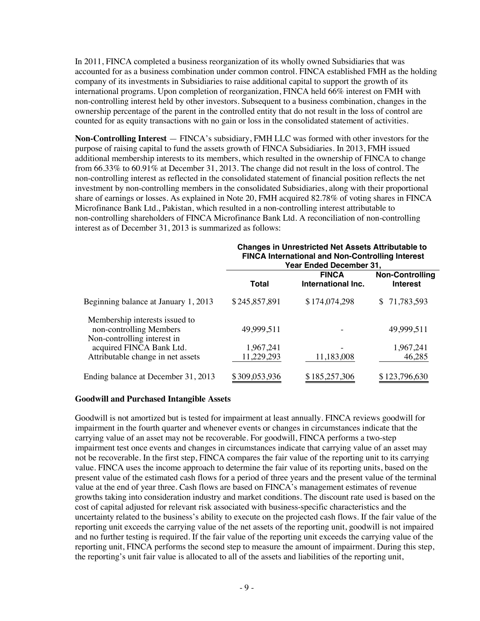In 2011, FINCA completed a business reorganization of its wholly owned Subsidiaries that was accounted for as a business combination under common control. FINCA established FMH as the holding company of its investments in Subsidiaries to raise additional capital to support the growth of its international programs. Upon completion of reorganization, FINCA held 66% interest on FMH with non-controlling interest held by other investors. Subsequent to a business combination, changes in the ownership percentage of the parent in the controlled entity that do not result in the loss of control are counted for as equity transactions with no gain or loss in the consolidated statement of activities.

**Non-Controlling Interest** — FINCA's subsidiary, FMH LLC was formed with other investors for the purpose of raising capital to fund the assets growth of FINCA Subsidiaries. In 2013, FMH issued additional membership interests to its members, which resulted in the ownership of FINCA to change from 66.33% to 60.91% at December 31, 2013. The change did not result in the loss of control. The non-controlling interest as reflected in the consolidated statement of financial position reflects the net investment by non-controlling members in the consolidated Subsidiaries, along with their proportional share of earnings or losses. As explained in Note 20, FMH acquired 82.78% of voting shares in FINCA Microfinance Bank Ltd., Pakistan, which resulted in a non-controlling interest attributable to non-controlling shareholders of FINCA Microfinance Bank Ltd. A reconciliation of non-controlling interest as of December 31, 2013 is summarized as follows:

|                                                                                          | <b>Changes in Unrestricted Net Assets Attributable to</b><br><b>FINCA International and Non-Controlling Interest</b><br>Year Ended December 31, |                                    |                                           |
|------------------------------------------------------------------------------------------|-------------------------------------------------------------------------------------------------------------------------------------------------|------------------------------------|-------------------------------------------|
|                                                                                          | <b>Total</b>                                                                                                                                    | <b>FINCA</b><br>International Inc. | <b>Non-Controlling</b><br><b>Interest</b> |
| Beginning balance at January 1, 2013                                                     | \$245,857,891                                                                                                                                   | \$174,074,298                      | \$71,783,593                              |
| Membership interests issued to<br>non-controlling Members<br>Non-controlling interest in | 49,999,511                                                                                                                                      |                                    | 49,999,511                                |
| acquired FINCA Bank Ltd.<br>Attributable change in net assets                            | 1,967,241<br>11,229,293                                                                                                                         | 11,183,008                         | 1,967,241<br>46,285                       |
| Ending balance at December 31, 2013                                                      | \$309,053,936                                                                                                                                   | \$185,257,306                      | \$123,796,630                             |

#### **Goodwill and Purchased Intangible Assets**

Goodwill is not amortized but is tested for impairment at least annually. FINCA reviews goodwill for impairment in the fourth quarter and whenever events or changes in circumstances indicate that the carrying value of an asset may not be recoverable. For goodwill, FINCA performs a two-step impairment test once events and changes in circumstances indicate that carrying value of an asset may not be recoverable. In the first step, FINCA compares the fair value of the reporting unit to its carrying value. FINCA uses the income approach to determine the fair value of its reporting units, based on the present value of the estimated cash flows for a period of three years and the present value of the terminal value at the end of year three. Cash flows are based on FINCA's management estimates of revenue growths taking into consideration industry and market conditions. The discount rate used is based on the cost of capital adjusted for relevant risk associated with business-specific characteristics and the uncertainty related to the business's ability to execute on the projected cash flows. If the fair value of the reporting unit exceeds the carrying value of the net assets of the reporting unit, goodwill is not impaired and no further testing is required. If the fair value of the reporting unit exceeds the carrying value of the reporting unit, FINCA performs the second step to measure the amount of impairment. During this step, the reporting's unit fair value is allocated to all of the assets and liabilities of the reporting unit,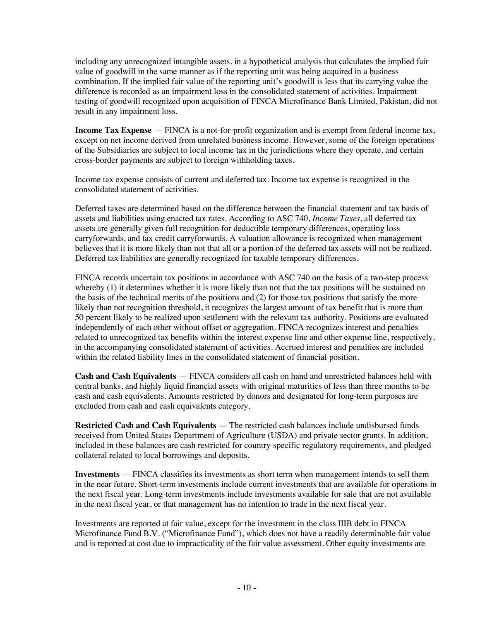including any unrecognized intangible assets, in a hypothetical analysis that calculates the implied fair value of goodwill in the same manner as if the reporting unit was being acquired in a business combination. If the implied fair value of the reporting unit's goodwill is less that its carrying value the difference is recorded as an impairment loss in the consolidated statement of activities. Impairment testing of goodwill recognized upon acquisition of FINCA Microfinance Bank Limited, Pakistan, did not result in any impairment loss.

**Income Tax Expense** — FINCA is a not-for-profit organization and is exempt from federal income tax, except on net income derived from unrelated business income. However, some of the foreign operations of the Subsidiaries are subject to local income tax in the jurisdictions where they operate, and certain cross-border payments are subject to foreign withholding taxes.

Income tax expense consists of current and deferred tax. Income tax expense is recognized in the consolidated statement of activities.

Deferred taxes are determined based on the difference between the financial statement and tax basis of assets and liabilities using enacted tax rates. According to ASC 740, *Income Taxes*, all deferred tax assets are generally given full recognition for deductible temporary differences, operating loss carryforwards, and tax credit carryforwards. A valuation allowance is recognized when management believes that it is more likely than not that all or a portion of the deferred tax assets will not be realized. Deferred tax liabilities are generally recognized for taxable temporary differences.

FINCA records uncertain tax positions in accordance with ASC 740 on the basis of a two-step process whereby (1) it determines whether it is more likely than not that the tax positions will be sustained on the basis of the technical merits of the positions and (2) for those tax positions that satisfy the more likely than not recognition threshold, it recognizes the largest amount of tax benefit that is more than 50 percent likely to be realized upon settlement with the relevant tax authority. Positions are evaluated independently of each other without offset or aggregation. FINCA recognizes interest and penalties related to unrecognized tax benefits within the interest expense line and other expense line, respectively, in the accompanying consolidated statement of activities. Accrued interest and penalties are included within the related liability lines in the consolidated statement of financial position.

**Cash and Cash Equivalents** — FINCA considers all cash on hand and unrestricted balances held with central banks, and highly liquid financial assets with original maturities of less than three months to be cash and cash equivalents. Amounts restricted by donors and designated for long-term purposes are excluded from cash and cash equivalents category.

**Restricted Cash and Cash Equivalents** — The restricted cash balances include undisbursed funds received from United States Department of Agriculture (USDA) and private sector grants. In addition, included in these balances are cash restricted for country-specific regulatory requirements, and pledged collateral related to local borrowings and deposits.

**Investments** — FINCA classifies its investments as short term when management intends to sell them in the near future. Short-term investments include current investments that are available for operations in the next fiscal year. Long-term investments include investments available for sale that are not available in the next fiscal year, or that management has no intention to trade in the next fiscal year.

Investments are reported at fair value, except for the investment in the class IIIB debt in FINCA Microfinance Fund B.V. ("Microfinance Fund"), which does not have a readily determinable fair value and is reported at cost due to impracticality of the fair value assessment. Other equity investments are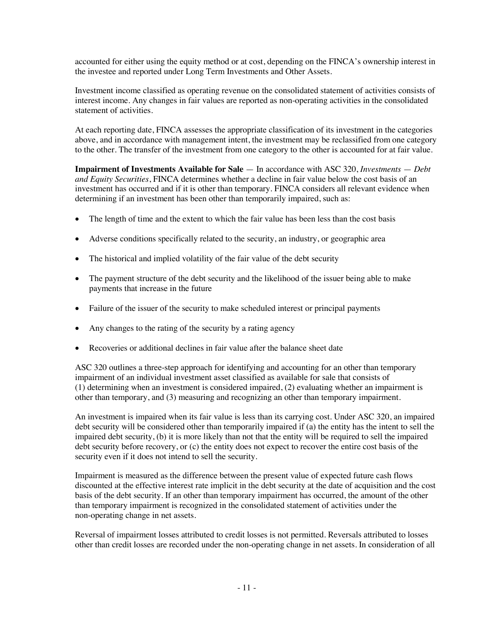accounted for either using the equity method or at cost, depending on the FINCA's ownership interest in the investee and reported under Long Term Investments and Other Assets.

Investment income classified as operating revenue on the consolidated statement of activities consists of interest income. Any changes in fair values are reported as non-operating activities in the consolidated statement of activities.

At each reporting date, FINCA assesses the appropriate classification of its investment in the categories above, and in accordance with management intent, the investment may be reclassified from one category to the other. The transfer of the investment from one category to the other is accounted for at fair value.

**Impairment of Investments Available for Sale** — In accordance with ASC 320, *Investments* — *Debt and Equity Securities*, FINCA determines whether a decline in fair value below the cost basis of an investment has occurred and if it is other than temporary. FINCA considers all relevant evidence when determining if an investment has been other than temporarily impaired, such as:

- The length of time and the extent to which the fair value has been less than the cost basis
- Adverse conditions specifically related to the security, an industry, or geographic area
- The historical and implied volatility of the fair value of the debt security
- The payment structure of the debt security and the likelihood of the issuer being able to make payments that increase in the future
- Failure of the issuer of the security to make scheduled interest or principal payments
- Any changes to the rating of the security by a rating agency
- Recoveries or additional declines in fair value after the balance sheet date

ASC 320 outlines a three-step approach for identifying and accounting for an other than temporary impairment of an individual investment asset classified as available for sale that consists of (1) determining when an investment is considered impaired, (2) evaluating whether an impairment is other than temporary, and (3) measuring and recognizing an other than temporary impairment.

An investment is impaired when its fair value is less than its carrying cost. Under ASC 320, an impaired debt security will be considered other than temporarily impaired if (a) the entity has the intent to sell the impaired debt security, (b) it is more likely than not that the entity will be required to sell the impaired debt security before recovery, or (c) the entity does not expect to recover the entire cost basis of the security even if it does not intend to sell the security.

Impairment is measured as the difference between the present value of expected future cash flows discounted at the effective interest rate implicit in the debt security at the date of acquisition and the cost basis of the debt security. If an other than temporary impairment has occurred, the amount of the other than temporary impairment is recognized in the consolidated statement of activities under the non-operating change in net assets.

Reversal of impairment losses attributed to credit losses is not permitted. Reversals attributed to losses other than credit losses are recorded under the non-operating change in net assets. In consideration of all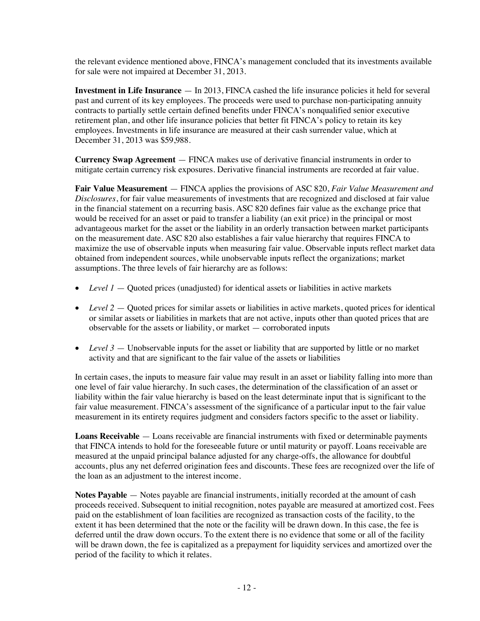the relevant evidence mentioned above, FINCA's management concluded that its investments available for sale were not impaired at December 31, 2013.

**Investment in Life Insurance** — In 2013, FINCA cashed the life insurance policies it held for several past and current of its key employees. The proceeds were used to purchase non-participating annuity contracts to partially settle certain defined benefits under FINCA's nonqualified senior executive retirement plan, and other life insurance policies that better fit FINCA's policy to retain its key employees. Investments in life insurance are measured at their cash surrender value, which at December 31, 2013 was \$59,988.

**Currency Swap Agreement** — FINCA makes use of derivative financial instruments in order to mitigate certain currency risk exposures. Derivative financial instruments are recorded at fair value.

**Fair Value Measurement** — FINCA applies the provisions of ASC 820, *Fair Value Measurement and Disclosures*, for fair value measurements of investments that are recognized and disclosed at fair value in the financial statement on a recurring basis. ASC 820 defines fair value as the exchange price that would be received for an asset or paid to transfer a liability (an exit price) in the principal or most advantageous market for the asset or the liability in an orderly transaction between market participants on the measurement date. ASC 820 also establishes a fair value hierarchy that requires FINCA to maximize the use of observable inputs when measuring fair value. Observable inputs reflect market data obtained from independent sources, while unobservable inputs reflect the organizations; market assumptions. The three levels of fair hierarchy are as follows:

- Level 1 Quoted prices (unadjusted) for identical assets or liabilities in active markets
- *Level* 2 Quoted prices for similar assets or liabilities in active markets, quoted prices for identical or similar assets or liabilities in markets that are not active, inputs other than quoted prices that are observable for the assets or liability, or market — corroborated inputs
- *Level* 3 Unobservable inputs for the asset or liability that are supported by little or no market activity and that are significant to the fair value of the assets or liabilities

In certain cases, the inputs to measure fair value may result in an asset or liability falling into more than one level of fair value hierarchy. In such cases, the determination of the classification of an asset or liability within the fair value hierarchy is based on the least determinate input that is significant to the fair value measurement. FINCA's assessment of the significance of a particular input to the fair value measurement in its entirety requires judgment and considers factors specific to the asset or liability.

**Loans Receivable** — Loans receivable are financial instruments with fixed or determinable payments that FINCA intends to hold for the foreseeable future or until maturity or payoff. Loans receivable are measured at the unpaid principal balance adjusted for any charge-offs, the allowance for doubtful accounts, plus any net deferred origination fees and discounts. These fees are recognized over the life of the loan as an adjustment to the interest income.

**Notes Payable** — Notes payable are financial instruments, initially recorded at the amount of cash proceeds received. Subsequent to initial recognition, notes payable are measured at amortized cost. Fees paid on the establishment of loan facilities are recognized as transaction costs of the facility, to the extent it has been determined that the note or the facility will be drawn down. In this case, the fee is deferred until the draw down occurs. To the extent there is no evidence that some or all of the facility will be drawn down, the fee is capitalized as a prepayment for liquidity services and amortized over the period of the facility to which it relates.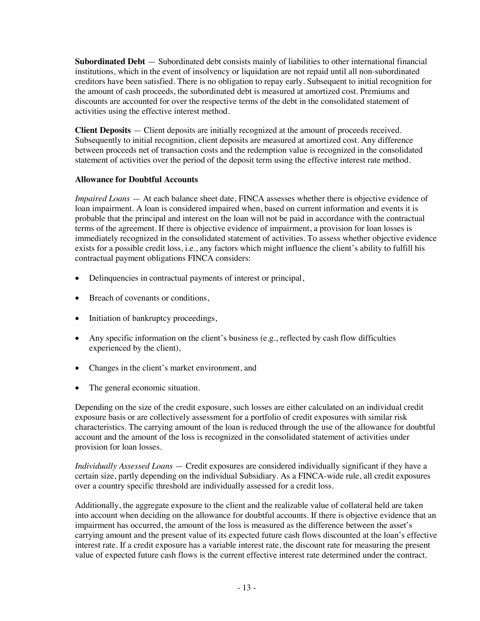**Subordinated Debt** — Subordinated debt consists mainly of liabilities to other international financial institutions, which in the event of insolvency or liquidation are not repaid until all non-subordinated creditors have been satisfied. There is no obligation to repay early. Subsequent to initial recognition for the amount of cash proceeds, the subordinated debt is measured at amortized cost. Premiums and discounts are accounted for over the respective terms of the debt in the consolidated statement of activities using the effective interest method.

**Client Deposits** — Client deposits are initially recognized at the amount of proceeds received. Subsequently to initial recognition, client deposits are measured at amortized cost. Any difference between proceeds net of transaction costs and the redemption value is recognized in the consolidated statement of activities over the period of the deposit term using the effective interest rate method.

# **Allowance for Doubtful Accounts**

*Impaired Loans* — At each balance sheet date, FINCA assesses whether there is objective evidence of loan impairment. A loan is considered impaired when, based on current information and events it is probable that the principal and interest on the loan will not be paid in accordance with the contractual terms of the agreement. If there is objective evidence of impairment, a provision for loan losses is immediately recognized in the consolidated statement of activities. To assess whether objective evidence exists for a possible credit loss, i.e., any factors which might influence the client's ability to fulfill his contractual payment obligations FINCA considers:

- Delinquencies in contractual payments of interest or principal,
- Breach of covenants or conditions,
- Initiation of bankruptcy proceedings,
- Any specific information on the client's business (e.g., reflected by cash flow difficulties experienced by the client),
- Changes in the client's market environment, and
- The general economic situation.

Depending on the size of the credit exposure, such losses are either calculated on an individual credit exposure basis or are collectively assessment for a portfolio of credit exposures with similar risk characteristics. The carrying amount of the loan is reduced through the use of the allowance for doubtful account and the amount of the loss is recognized in the consolidated statement of activities under provision for loan losses.

*Individually Assessed Loans* — Credit exposures are considered individually significant if they have a certain size, partly depending on the individual Subsidiary. As a FINCA-wide rule, all credit exposures over a country specific threshold are individually assessed for a credit loss.

Additionally, the aggregate exposure to the client and the realizable value of collateral held are taken into account when deciding on the allowance for doubtful accounts. If there is objective evidence that an impairment has occurred, the amount of the loss is measured as the difference between the asset's carrying amount and the present value of its expected future cash flows discounted at the loan's effective interest rate. If a credit exposure has a variable interest rate, the discount rate for measuring the present value of expected future cash flows is the current effective interest rate determined under the contract.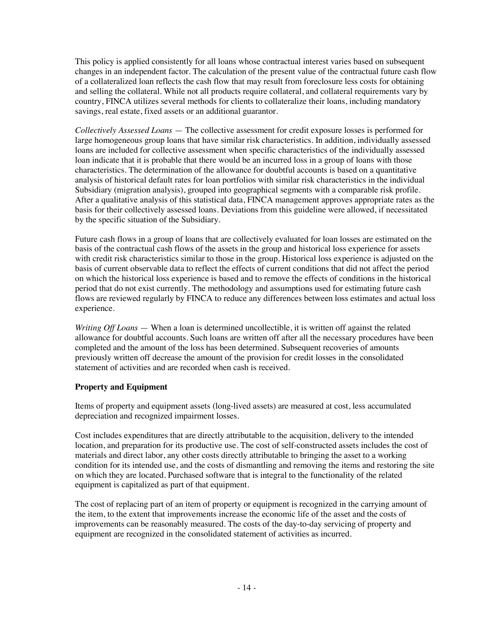This policy is applied consistently for all loans whose contractual interest varies based on subsequent changes in an independent factor. The calculation of the present value of the contractual future cash flow of a collateralized loan reflects the cash flow that may result from foreclosure less costs for obtaining and selling the collateral. While not all products require collateral, and collateral requirements vary by country, FINCA utilizes several methods for clients to collateralize their loans, including mandatory savings, real estate, fixed assets or an additional guarantor.

*Collectively Assessed Loans* — The collective assessment for credit exposure losses is performed for large homogeneous group loans that have similar risk characteristics. In addition, individually assessed loans are included for collective assessment when specific characteristics of the individually assessed loan indicate that it is probable that there would be an incurred loss in a group of loans with those characteristics. The determination of the allowance for doubtful accounts is based on a quantitative analysis of historical default rates for loan portfolios with similar risk characteristics in the individual Subsidiary (migration analysis), grouped into geographical segments with a comparable risk profile. After a qualitative analysis of this statistical data, FINCA management approves appropriate rates as the basis for their collectively assessed loans. Deviations from this guideline were allowed, if necessitated by the specific situation of the Subsidiary.

Future cash flows in a group of loans that are collectively evaluated for loan losses are estimated on the basis of the contractual cash flows of the assets in the group and historical loss experience for assets with credit risk characteristics similar to those in the group. Historical loss experience is adjusted on the basis of current observable data to reflect the effects of current conditions that did not affect the period on which the historical loss experience is based and to remove the effects of conditions in the historical period that do not exist currently. The methodology and assumptions used for estimating future cash flows are reviewed regularly by FINCA to reduce any differences between loss estimates and actual loss experience.

*Writing Off Loans* — When a loan is determined uncollectible, it is written off against the related allowance for doubtful accounts. Such loans are written off after all the necessary procedures have been completed and the amount of the loss has been determined. Subsequent recoveries of amounts previously written off decrease the amount of the provision for credit losses in the consolidated statement of activities and are recorded when cash is received.

# **Property and Equipment**

Items of property and equipment assets (long-lived assets) are measured at cost, less accumulated depreciation and recognized impairment losses.

Cost includes expenditures that are directly attributable to the acquisition, delivery to the intended location, and preparation for its productive use. The cost of self-constructed assets includes the cost of materials and direct labor, any other costs directly attributable to bringing the asset to a working condition for its intended use, and the costs of dismantling and removing the items and restoring the site on which they are located. Purchased software that is integral to the functionality of the related equipment is capitalized as part of that equipment.

The cost of replacing part of an item of property or equipment is recognized in the carrying amount of the item, to the extent that improvements increase the economic life of the asset and the costs of improvements can be reasonably measured. The costs of the day-to-day servicing of property and equipment are recognized in the consolidated statement of activities as incurred.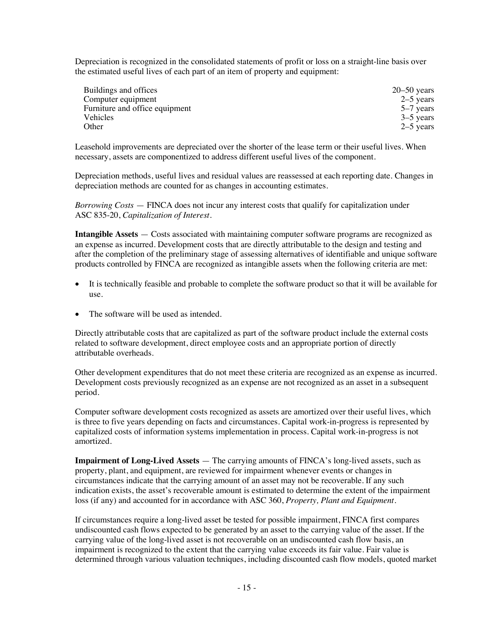Depreciation is recognized in the consolidated statements of profit or loss on a straight-line basis over the estimated useful lives of each part of an item of property and equipment:

| Buildings and offices          | $20 - 50$ years |
|--------------------------------|-----------------|
| Computer equipment             | $2-5$ years     |
| Furniture and office equipment | 5–7 years       |
| <b>Vehicles</b>                | $3-5$ years     |
| Other                          | $2-5$ years     |

Leasehold improvements are depreciated over the shorter of the lease term or their useful lives. When necessary, assets are componentized to address different useful lives of the component.

Depreciation methods, useful lives and residual values are reassessed at each reporting date. Changes in depreciation methods are counted for as changes in accounting estimates.

*Borrowing Costs* — FINCA does not incur any interest costs that qualify for capitalization under ASC 835-20, *Capitalization of Interest*.

**Intangible Assets** — Costs associated with maintaining computer software programs are recognized as an expense as incurred. Development costs that are directly attributable to the design and testing and after the completion of the preliminary stage of assessing alternatives of identifiable and unique software products controlled by FINCA are recognized as intangible assets when the following criteria are met:

- It is technically feasible and probable to complete the software product so that it will be available for use.
- The software will be used as intended.

Directly attributable costs that are capitalized as part of the software product include the external costs related to software development, direct employee costs and an appropriate portion of directly attributable overheads.

Other development expenditures that do not meet these criteria are recognized as an expense as incurred. Development costs previously recognized as an expense are not recognized as an asset in a subsequent period.

Computer software development costs recognized as assets are amortized over their useful lives, which is three to five years depending on facts and circumstances. Capital work-in-progress is represented by capitalized costs of information systems implementation in process. Capital work-in-progress is not amortized.

**Impairment of Long-Lived Assets** — The carrying amounts of FINCA's long-lived assets, such as property, plant, and equipment, are reviewed for impairment whenever events or changes in circumstances indicate that the carrying amount of an asset may not be recoverable. If any such indication exists, the asset's recoverable amount is estimated to determine the extent of the impairment loss (if any) and accounted for in accordance with ASC 360, *Property, Plant and Equipment*.

If circumstances require a long-lived asset be tested for possible impairment, FINCA first compares undiscounted cash flows expected to be generated by an asset to the carrying value of the asset. If the carrying value of the long-lived asset is not recoverable on an undiscounted cash flow basis, an impairment is recognized to the extent that the carrying value exceeds its fair value. Fair value is determined through various valuation techniques, including discounted cash flow models, quoted market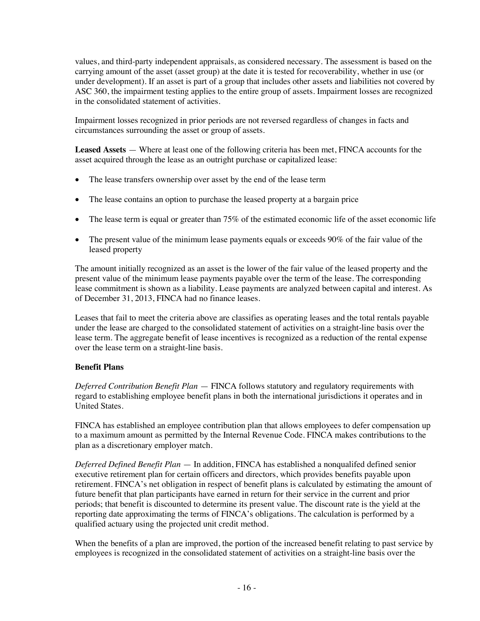values, and third-party independent appraisals, as considered necessary. The assessment is based on the carrying amount of the asset (asset group) at the date it is tested for recoverability, whether in use (or under development). If an asset is part of a group that includes other assets and liabilities not covered by ASC 360, the impairment testing applies to the entire group of assets. Impairment losses are recognized in the consolidated statement of activities.

Impairment losses recognized in prior periods are not reversed regardless of changes in facts and circumstances surrounding the asset or group of assets.

**Leased Assets** — Where at least one of the following criteria has been met, FINCA accounts for the asset acquired through the lease as an outright purchase or capitalized lease:

- The lease transfers ownership over asset by the end of the lease term
- The lease contains an option to purchase the leased property at a bargain price
- The lease term is equal or greater than  $75\%$  of the estimated economic life of the asset economic life
- The present value of the minimum lease payments equals or exceeds 90% of the fair value of the leased property

The amount initially recognized as an asset is the lower of the fair value of the leased property and the present value of the minimum lease payments payable over the term of the lease. The corresponding lease commitment is shown as a liability. Lease payments are analyzed between capital and interest. As of December 31, 2013, FINCA had no finance leases.

Leases that fail to meet the criteria above are classifies as operating leases and the total rentals payable under the lease are charged to the consolidated statement of activities on a straight-line basis over the lease term. The aggregate benefit of lease incentives is recognized as a reduction of the rental expense over the lease term on a straight-line basis.

#### **Benefit Plans**

*Deferred Contribution Benefit Plan* — FINCA follows statutory and regulatory requirements with regard to establishing employee benefit plans in both the international jurisdictions it operates and in United States.

FINCA has established an employee contribution plan that allows employees to defer compensation up to a maximum amount as permitted by the Internal Revenue Code. FINCA makes contributions to the plan as a discretionary employer match.

*Deferred Defined Benefit Plan* — In addition, FINCA has established a nonqualifed defined senior executive retirement plan for certain officers and directors, which provides benefits payable upon retirement. FINCA's net obligation in respect of benefit plans is calculated by estimating the amount of future benefit that plan participants have earned in return for their service in the current and prior periods; that benefit is discounted to determine its present value. The discount rate is the yield at the reporting date approximating the terms of FINCA's obligations. The calculation is performed by a qualified actuary using the projected unit credit method.

When the benefits of a plan are improved, the portion of the increased benefit relating to past service by employees is recognized in the consolidated statement of activities on a straight-line basis over the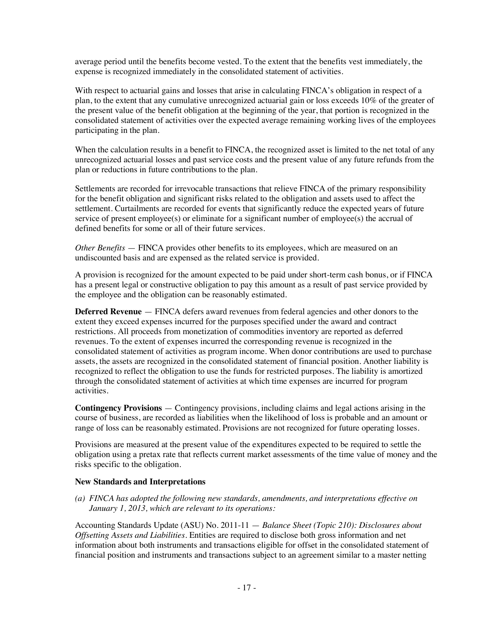average period until the benefits become vested. To the extent that the benefits vest immediately, the expense is recognized immediately in the consolidated statement of activities.

With respect to actuarial gains and losses that arise in calculating FINCA's obligation in respect of a plan, to the extent that any cumulative unrecognized actuarial gain or loss exceeds 10% of the greater of the present value of the benefit obligation at the beginning of the year, that portion is recognized in the consolidated statement of activities over the expected average remaining working lives of the employees participating in the plan.

When the calculation results in a benefit to FINCA, the recognized asset is limited to the net total of any unrecognized actuarial losses and past service costs and the present value of any future refunds from the plan or reductions in future contributions to the plan.

Settlements are recorded for irrevocable transactions that relieve FINCA of the primary responsibility for the benefit obligation and significant risks related to the obligation and assets used to affect the settlement. Curtailments are recorded for events that significantly reduce the expected years of future service of present employee(s) or eliminate for a significant number of employee(s) the accrual of defined benefits for some or all of their future services.

*Other Benefits* — FINCA provides other benefits to its employees, which are measured on an undiscounted basis and are expensed as the related service is provided.

A provision is recognized for the amount expected to be paid under short-term cash bonus, or if FINCA has a present legal or constructive obligation to pay this amount as a result of past service provided by the employee and the obligation can be reasonably estimated.

**Deferred Revenue** — FINCA defers award revenues from federal agencies and other donors to the extent they exceed expenses incurred for the purposes specified under the award and contract restrictions. All proceeds from monetization of commodities inventory are reported as deferred revenues. To the extent of expenses incurred the corresponding revenue is recognized in the consolidated statement of activities as program income. When donor contributions are used to purchase assets, the assets are recognized in the consolidated statement of financial position. Another liability is recognized to reflect the obligation to use the funds for restricted purposes. The liability is amortized through the consolidated statement of activities at which time expenses are incurred for program activities.

**Contingency Provisions** — Contingency provisions, including claims and legal actions arising in the course of business, are recorded as liabilities when the likelihood of loss is probable and an amount or range of loss can be reasonably estimated. Provisions are not recognized for future operating losses.

Provisions are measured at the present value of the expenditures expected to be required to settle the obligation using a pretax rate that reflects current market assessments of the time value of money and the risks specific to the obligation.

#### **New Standards and Interpretations**

*(a) FINCA has adopted the following new standards, amendments, and interpretations effective on January 1, 2013, which are relevant to its operations:*

Accounting Standards Update (ASU) No. 2011-11 — *Balance Sheet (Topic 210): Disclosures about Offsetting Assets and Liabilities.* Entities are required to disclose both gross information and net information about both instruments and transactions eligible for offset in the consolidated statement of financial position and instruments and transactions subject to an agreement similar to a master netting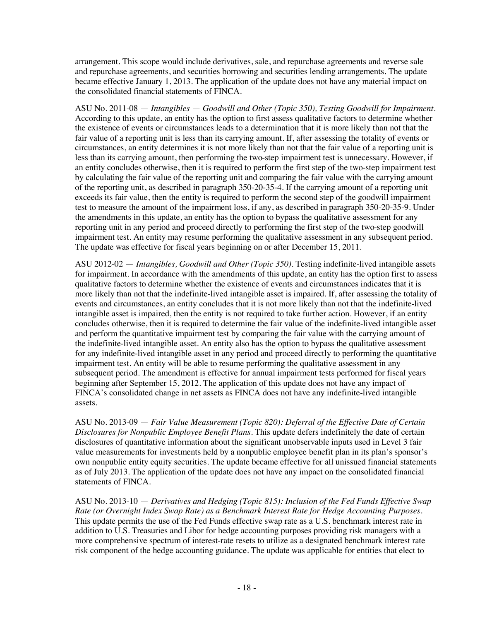arrangement. This scope would include derivatives, sale, and repurchase agreements and reverse sale and repurchase agreements, and securities borrowing and securities lending arrangements. The update became effective January 1, 2013. The application of the update does not have any material impact on the consolidated financial statements of FINCA.

ASU No. 2011-08 — *Intangibles* — *Goodwill and Other (Topic 350), Testing Goodwill for Impairment*. According to this update, an entity has the option to first assess qualitative factors to determine whether the existence of events or circumstances leads to a determination that it is more likely than not that the fair value of a reporting unit is less than its carrying amount. If, after assessing the totality of events or circumstances, an entity determines it is not more likely than not that the fair value of a reporting unit is less than its carrying amount, then performing the two-step impairment test is unnecessary. However, if an entity concludes otherwise, then it is required to perform the first step of the two-step impairment test by calculating the fair value of the reporting unit and comparing the fair value with the carrying amount of the reporting unit, as described in paragraph 350-20-35-4. If the carrying amount of a reporting unit exceeds its fair value, then the entity is required to perform the second step of the goodwill impairment test to measure the amount of the impairment loss, if any, as described in paragraph 350-20-35-9. Under the amendments in this update, an entity has the option to bypass the qualitative assessment for any reporting unit in any period and proceed directly to performing the first step of the two-step goodwill impairment test. An entity may resume performing the qualitative assessment in any subsequent period. The update was effective for fiscal years beginning on or after December 15, 2011.

ASU 2012-02 — *Intangibles, Goodwill and Other (Topic 350)*. Testing indefinite-lived intangible assets for impairment. In accordance with the amendments of this update, an entity has the option first to assess qualitative factors to determine whether the existence of events and circumstances indicates that it is more likely than not that the indefinite-lived intangible asset is impaired. If, after assessing the totality of events and circumstances, an entity concludes that it is not more likely than not that the indefinite-lived intangible asset is impaired, then the entity is not required to take further action. However, if an entity concludes otherwise, then it is required to determine the fair value of the indefinite-lived intangible asset and perform the quantitative impairment test by comparing the fair value with the carrying amount of the indefinite-lived intangible asset. An entity also has the option to bypass the qualitative assessment for any indefinite-lived intangible asset in any period and proceed directly to performing the quantitative impairment test. An entity will be able to resume performing the qualitative assessment in any subsequent period. The amendment is effective for annual impairment tests performed for fiscal years beginning after September 15, 2012. The application of this update does not have any impact of FINCA's consolidated change in net assets as FINCA does not have any indefinite-lived intangible assets.

ASU No. 2013-09 — *Fair Value Measurement (Topic 820): Deferral of the Effective Date of Certain Disclosures for Nonpublic Employee Benefit Plans*. This update defers indefinitely the date of certain disclosures of quantitative information about the significant unobservable inputs used in Level 3 fair value measurements for investments held by a nonpublic employee benefit plan in its plan's sponsor's own nonpublic entity equity securities. The update became effective for all unissued financial statements as of July 2013. The application of the update does not have any impact on the consolidated financial statements of FINCA.

ASU No. 2013-10 — *Derivatives and Hedging (Topic 815): Inclusion of the Fed Funds Effective Swap Rate (or Overnight Index Swap Rate) as a Benchmark Interest Rate for Hedge Accounting Purposes*. This update permits the use of the Fed Funds effective swap rate as a U.S. benchmark interest rate in addition to U.S. Treasuries and Libor for hedge accounting purposes providing risk managers with a more comprehensive spectrum of interest-rate resets to utilize as a designated benchmark interest rate risk component of the hedge accounting guidance. The update was applicable for entities that elect to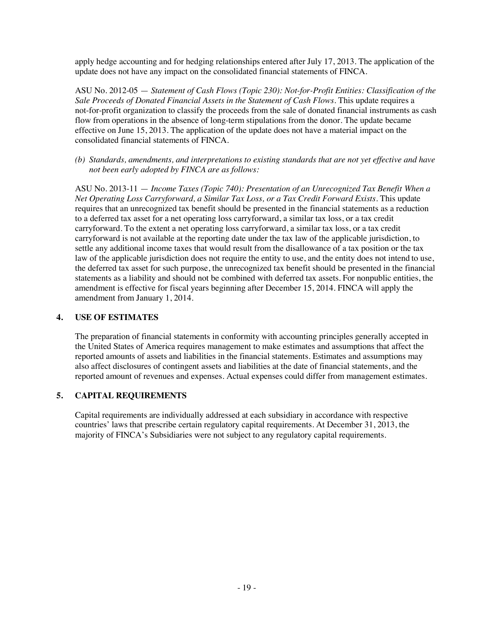apply hedge accounting and for hedging relationships entered after July 17, 2013. The application of the update does not have any impact on the consolidated financial statements of FINCA.

ASU No. 2012-05 — *Statement of Cash Flows (Topic 230): Not-for-Profit Entities: Classification of the Sale Proceeds of Donated Financial Assets in the Statement of Cash Flows*. This update requires a not-for-profit organization to classify the proceeds from the sale of donated financial instruments as cash flow from operations in the absence of long-term stipulations from the donor. The update became effective on June 15, 2013. The application of the update does not have a material impact on the consolidated financial statements of FINCA.

*(b) Standards, amendments, and interpretations to existing standards that are not yet effective and have not been early adopted by FINCA are as follows:*

ASU No. 2013-11 — *Income Taxes (Topic 740): Presentation of an Unrecognized Tax Benefit When a Net Operating Loss Carryforward, a Similar Tax Loss, or a Tax Credit Forward Exists*. This update requires that an unrecognized tax benefit should be presented in the financial statements as a reduction to a deferred tax asset for a net operating loss carryforward, a similar tax loss, or a tax credit carryforward. To the extent a net operating loss carryforward, a similar tax loss, or a tax credit carryforward is not available at the reporting date under the tax law of the applicable jurisdiction, to settle any additional income taxes that would result from the disallowance of a tax position or the tax law of the applicable jurisdiction does not require the entity to use, and the entity does not intend to use, the deferred tax asset for such purpose, the unrecognized tax benefit should be presented in the financial statements as a liability and should not be combined with deferred tax assets. For nonpublic entities, the amendment is effective for fiscal years beginning after December 15, 2014. FINCA will apply the amendment from January 1, 2014.

# **4. USE OF ESTIMATES**

The preparation of financial statements in conformity with accounting principles generally accepted in the United States of America requires management to make estimates and assumptions that affect the reported amounts of assets and liabilities in the financial statements. Estimates and assumptions may also affect disclosures of contingent assets and liabilities at the date of financial statements, and the reported amount of revenues and expenses. Actual expenses could differ from management estimates.

# **5. CAPITAL REQUIREMENTS**

Capital requirements are individually addressed at each subsidiary in accordance with respective countries' laws that prescribe certain regulatory capital requirements. At December 31, 2013, the majority of FINCA's Subsidiaries were not subject to any regulatory capital requirements.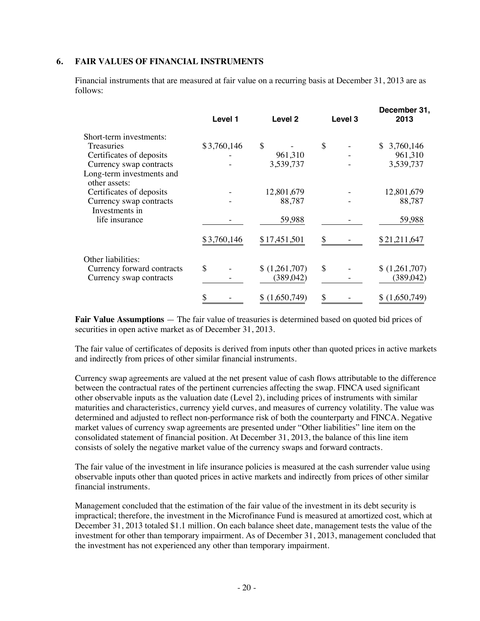#### **6. FAIR VALUES OF FINANCIAL INSTRUMENTS**

Financial instruments that are measured at fair value on a recurring basis at December 31, 2013 are as follows:

|                                            | Level 1     | Level <sub>2</sub> | Level <sub>3</sub> | December 31,<br>2013 |
|--------------------------------------------|-------------|--------------------|--------------------|----------------------|
| Short-term investments:                    |             |                    |                    |                      |
| <b>Treasuries</b>                          | \$3,760,146 | \$                 | \$                 | 3,760,146<br>S.      |
| Certificates of deposits                   |             | 961,310            |                    | 961,310              |
| Currency swap contracts                    |             | 3,539,737          |                    | 3,539,737            |
| Long-term investments and<br>other assets: |             |                    |                    |                      |
| Certificates of deposits                   |             | 12,801,679         |                    | 12,801,679           |
| Currency swap contracts                    |             | 88,787             |                    | 88,787               |
| Investments in<br>life insurance           |             | 59,988             |                    | 59,988               |
|                                            | \$3,760,146 | \$17,451,501       | \$                 | \$21,211,647         |
| Other liabilities:                         |             |                    |                    |                      |
| Currency forward contracts                 | \$          | \$(1,261,707)      | $\mathcal{S}$      | \$(1,261,707)        |
| Currency swap contracts                    |             | (389, 042)         |                    | (389, 042)           |
|                                            | S           | (1,650,749)        | \$                 | (1,650,749)          |

**Fair Value Assumptions** — The fair value of treasuries is determined based on quoted bid prices of securities in open active market as of December 31, 2013.

The fair value of certificates of deposits is derived from inputs other than quoted prices in active markets and indirectly from prices of other similar financial instruments.

Currency swap agreements are valued at the net present value of cash flows attributable to the difference between the contractual rates of the pertinent currencies affecting the swap. FINCA used significant other observable inputs as the valuation date (Level 2), including prices of instruments with similar maturities and characteristics, currency yield curves, and measures of currency volatility. The value was determined and adjusted to reflect non-performance risk of both the counterparty and FINCA. Negative market values of currency swap agreements are presented under "Other liabilities" line item on the consolidated statement of financial position. At December 31, 2013, the balance of this line item consists of solely the negative market value of the currency swaps and forward contracts.

The fair value of the investment in life insurance policies is measured at the cash surrender value using observable inputs other than quoted prices in active markets and indirectly from prices of other similar financial instruments.

Management concluded that the estimation of the fair value of the investment in its debt security is impractical; therefore, the investment in the Microfinance Fund is measured at amortized cost, which at December 31, 2013 totaled \$1.1 million. On each balance sheet date, management tests the value of the investment for other than temporary impairment. As of December 31, 2013, management concluded that the investment has not experienced any other than temporary impairment.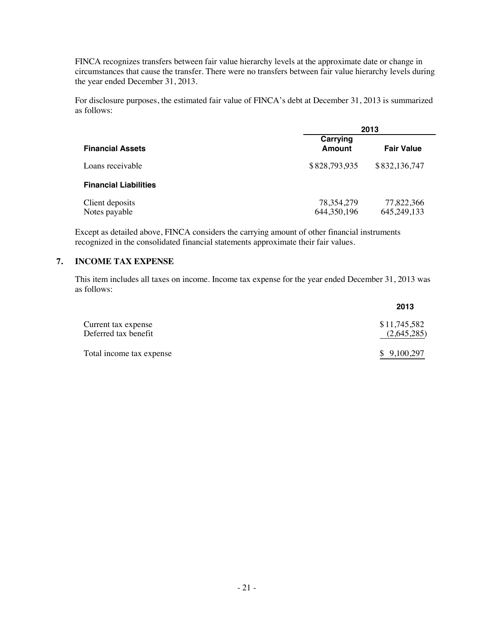FINCA recognizes transfers between fair value hierarchy levels at the approximate date or change in circumstances that cause the transfer. There were no transfers between fair value hierarchy levels during the year ended December 31, 2013.

For disclosure purposes, the estimated fair value of FINCA's debt at December 31, 2013 is summarized as follows:

|                                  | 2013                          |                           |  |
|----------------------------------|-------------------------------|---------------------------|--|
| <b>Financial Assets</b>          | Carrying<br>Amount            | <b>Fair Value</b>         |  |
| Loans receivable                 | \$828,793,935                 | \$832,136,747             |  |
| <b>Financial Liabilities</b>     |                               |                           |  |
| Client deposits<br>Notes payable | 78, 354, 279<br>644, 350, 196 | 77,822,366<br>645,249,133 |  |

Except as detailed above, FINCA considers the carrying amount of other financial instruments recognized in the consolidated financial statements approximate their fair values.

#### **7. INCOME TAX EXPENSE**

This item includes all taxes on income. Income tax expense for the year ended December 31, 2013 was as follows:

|                                             | 2013                        |
|---------------------------------------------|-----------------------------|
| Current tax expense<br>Deferred tax benefit | \$11,745,582<br>(2,645,285) |
| Total income tax expense                    | \$9,100,297                 |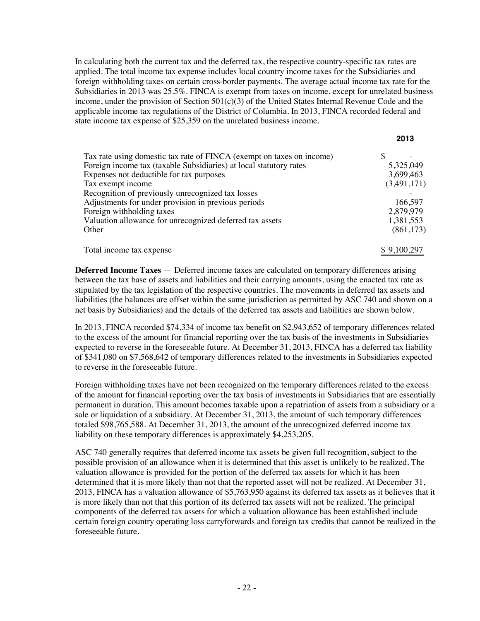In calculating both the current tax and the deferred tax, the respective country-specific tax rates are applied. The total income tax expense includes local country income taxes for the Subsidiaries and foreign withholding taxes on certain cross-border payments. The average actual income tax rate for the Subsidiaries in 2013 was 25.5%. FINCA is exempt from taxes on income, except for unrelated business income, under the provision of Section  $501(c)(3)$  of the United States Internal Revenue Code and the applicable income tax regulations of the District of Columbia. In 2013, FINCA recorded federal and state income tax expense of \$25,359 on the unrelated business income.

**2013**

|                                                                       | 2013        |
|-----------------------------------------------------------------------|-------------|
| Tax rate using domestic tax rate of FINCA (exempt on taxes on income) |             |
| Foreign income tax (taxable Subsidiaries) at local statutory rates    | 5,325,049   |
| Expenses not deductible for tax purposes                              | 3,699,463   |
| Tax exempt income                                                     | (3,491,171) |
| Recognition of previously unrecognized tax losses                     |             |
| Adjustments for under provision in previous periods                   | 166,597     |
| Foreign withholding taxes                                             | 2,879,979   |
| Valuation allowance for unrecognized deferred tax assets              | 1,381,553   |
| Other                                                                 | (861, 173)  |
| Total income tax expense                                              | \$9,100,297 |

**Deferred Income Taxes** — Deferred income taxes are calculated on temporary differences arising between the tax base of assets and liabilities and their carrying amounts, using the enacted tax rate as stipulated by the tax legislation of the respective countries. The movements in deferred tax assets and liabilities (the balances are offset within the same jurisdiction as permitted by ASC 740 and shown on a net basis by Subsidiaries) and the details of the deferred tax assets and liabilities are shown below.

In 2013, FINCA recorded \$74,334 of income tax benefit on \$2,943,652 of temporary differences related to the excess of the amount for financial reporting over the tax basis of the investments in Subsidiaries expected to reverse in the foreseeable future. At December 31, 2013, FINCA has a deferred tax liability of \$341,080 on \$7,568,642 of temporary differences related to the investments in Subsidiaries expected to reverse in the foreseeable future.

Foreign withholding taxes have not been recognized on the temporary differences related to the excess of the amount for financial reporting over the tax basis of investments in Subsidiaries that are essentially permanent in duration. This amount becomes taxable upon a repatriation of assets from a subsidiary or a sale or liquidation of a subsidiary. At December 31, 2013, the amount of such temporary differences totaled \$98,765,588. At December 31, 2013, the amount of the unrecognized deferred income tax liability on these temporary differences is approximately \$4,253,205.

ASC 740 generally requires that deferred income tax assets be given full recognition, subject to the possible provision of an allowance when it is determined that this asset is unlikely to be realized. The valuation allowance is provided for the portion of the deferred tax assets for which it has been determined that it is more likely than not that the reported asset will not be realized. At December 31, 2013, FINCA has a valuation allowance of \$5,763,950 against its deferred tax assets as it believes that it is more likely than not that this portion of its deferred tax assets will not be realized. The principal components of the deferred tax assets for which a valuation allowance has been established include certain foreign country operating loss carryforwards and foreign tax credits that cannot be realized in the foreseeable future.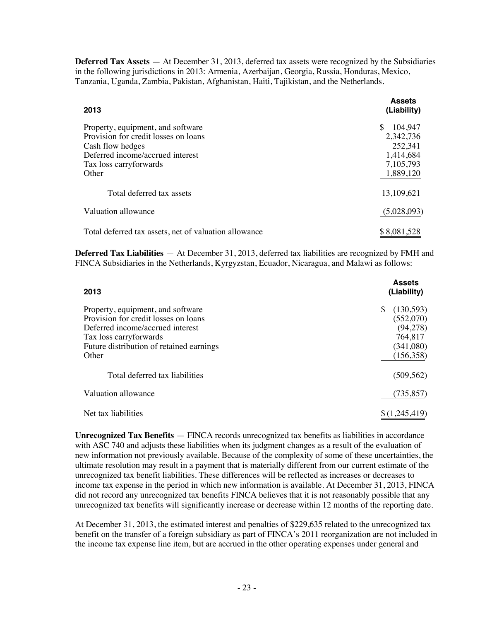**Deferred Tax Assets** — At December 31, 2013, deferred tax assets were recognized by the Subsidiaries in the following jurisdictions in 2013: Armenia, Azerbaijan, Georgia, Russia, Honduras, Mexico, Tanzania, Uganda, Zambia, Pakistan, Afghanistan, Haiti, Tajikistan, and the Netherlands.

| 2013                                                                                                                                                                  | <b>Assets</b><br>(Liability)                                                 |
|-----------------------------------------------------------------------------------------------------------------------------------------------------------------------|------------------------------------------------------------------------------|
| Property, equipment, and software<br>Provision for credit losses on loans<br>Cash flow hedges<br>Deferred income/accrued interest<br>Tax loss carry forwards<br>Other | \$<br>104,947<br>2,342,736<br>252,341<br>1,414,684<br>7,105,793<br>1,889,120 |
| Total deferred tax assets                                                                                                                                             | 13,109,621                                                                   |
| Valuation allowance                                                                                                                                                   | (5,028,093)                                                                  |
| Total deferred tax assets, net of valuation allowance                                                                                                                 | \$8,081,528                                                                  |

**Deferred Tax Liabilities** — At December 31, 2013, deferred tax liabilities are recognized by FMH and FINCA Subsidiaries in the Netherlands, Kyrgyzstan, Ecuador, Nicaragua, and Malawi as follows:

| 2013                                                                                                                                                                                          | <b>Assets</b><br>(Liability)                                                     |
|-----------------------------------------------------------------------------------------------------------------------------------------------------------------------------------------------|----------------------------------------------------------------------------------|
| Property, equipment, and software<br>Provision for credit losses on loans<br>Deferred income/accrued interest<br>Tax loss carry forwards<br>Future distribution of retained earnings<br>Other | (130,593)<br>\$.<br>(552,070)<br>(94, 278)<br>764,817<br>(341,080)<br>(156, 358) |
| Total deferred tax liabilities                                                                                                                                                                | (509, 562)                                                                       |
| Valuation allowance                                                                                                                                                                           | (735, 857)                                                                       |
| Net tax liabilities                                                                                                                                                                           | \$(1,245,419)                                                                    |

**Unrecognized Tax Benefits** — FINCA records unrecognized tax benefits as liabilities in accordance with ASC 740 and adjusts these liabilities when its judgment changes as a result of the evaluation of new information not previously available. Because of the complexity of some of these uncertainties, the ultimate resolution may result in a payment that is materially different from our current estimate of the unrecognized tax benefit liabilities. These differences will be reflected as increases or decreases to income tax expense in the period in which new information is available. At December 31, 2013, FINCA did not record any unrecognized tax benefits FINCA believes that it is not reasonably possible that any unrecognized tax benefits will significantly increase or decrease within 12 months of the reporting date.

At December 31, 2013, the estimated interest and penalties of \$229,635 related to the unrecognized tax benefit on the transfer of a foreign subsidiary as part of FINCA's 2011 reorganization are not included in the income tax expense line item, but are accrued in the other operating expenses under general and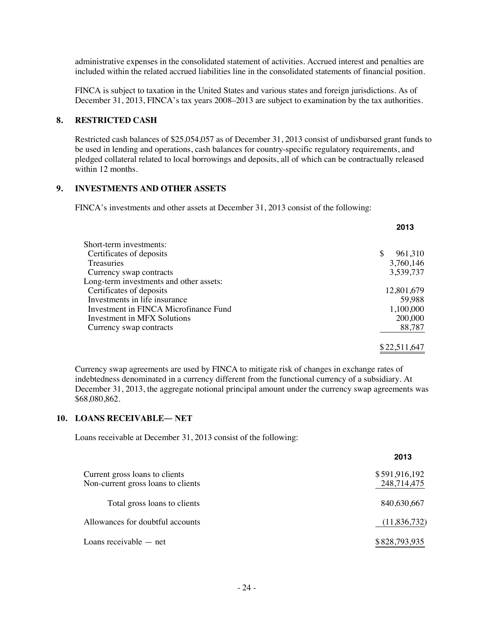administrative expenses in the consolidated statement of activities. Accrued interest and penalties are included within the related accrued liabilities line in the consolidated statements of financial position.

FINCA is subject to taxation in the United States and various states and foreign jurisdictions. As of December 31, 2013, FINCA's tax years 2008–2013 are subject to examination by the tax authorities.

#### **8. RESTRICTED CASH**

Restricted cash balances of \$25,054,057 as of December 31, 2013 consist of undisbursed grant funds to be used in lending and operations, cash balances for country-specific regulatory requirements, and pledged collateral related to local borrowings and deposits, all of which can be contractually released within 12 months.

#### **9. INVESTMENTS AND OTHER ASSETS**

FINCA's investments and other assets at December 31, 2013 consist of the following:

| Short-term investments:                 |                |
|-----------------------------------------|----------------|
| Certificates of deposits                | 961,310<br>\$. |
| <b>Treasuries</b>                       | 3,760,146      |
| Currency swap contracts                 | 3,539,737      |
| Long-term investments and other assets: |                |
| Certificates of deposits                | 12,801,679     |
| Investments in life insurance           | 59,988         |
| Investment in FINCA Microfinance Fund   | 1,100,000      |
| Investment in MFX Solutions             | 200,000        |
| Currency swap contracts                 | 88,787         |
|                                         |                |
|                                         | \$22,511,647   |

**2013**

Currency swap agreements are used by FINCA to mitigate risk of changes in exchange rates of indebtedness denominated in a currency different from the functional currency of a subsidiary. At December 31, 2013, the aggregate notional principal amount under the currency swap agreements was \$68,080,862.

#### **10. LOANS RECEIVABLE― NET**

Loans receivable at December 31, 2013 consist of the following:

|                                                                      | 2013                         |
|----------------------------------------------------------------------|------------------------------|
| Current gross loans to clients<br>Non-current gross loans to clients | \$591,916,192<br>248,714,475 |
| Total gross loans to clients                                         | 840,630,667                  |
| Allowances for doubtful accounts                                     | (11,836,732)                 |
| Loans receivable $-$ net                                             | \$828,793,935                |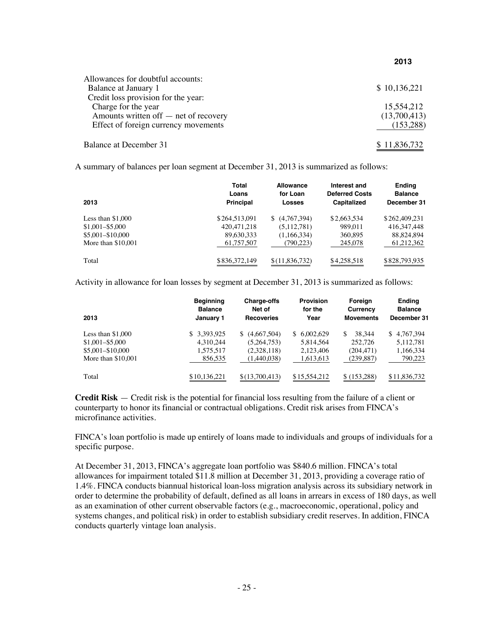| Allowances for doubtful accounts:     |              |
|---------------------------------------|--------------|
| Balance at January 1                  | \$10,136,221 |
| Credit loss provision for the year:   |              |
| Charge for the year                   | 15,554,212   |
| Amounts written off – net of recovery | (13,700,413) |
| Effect of foreign currency movements  | (153, 288)   |
| Balance at December 31                | \$11,836,732 |

**2013**

A summary of balances per loan segment at December 31, 2013 is summarized as follows:

| 2013                | Total<br>Loans<br><b>Principal</b> | <b>Allowance</b><br>for Loan<br>Losses | Interest and<br><b>Deferred Costs</b><br>Capitalized | <b>Ending</b><br><b>Balance</b><br>December 31 |
|---------------------|------------------------------------|----------------------------------------|------------------------------------------------------|------------------------------------------------|
| Less than $$1,000$  | \$264,513,091                      | (4,767,394)                            | \$2,663,534                                          | \$262,409.231                                  |
| $$1,001 - $5,000$   | 420.471.218                        | (5,112,781)                            | 989.011                                              | 416, 347, 448                                  |
| \$5,001-\$10,000    | 89,630,333                         | (1,166,334)                            | 360,895                                              | 88.824.894                                     |
| More than $$10,001$ | 61,757,507                         | (790,223)                              | 245,078                                              | 61,212,362                                     |
| Total               | \$836,372,149                      | \$(11,836,732)                         | \$4,258,518                                          | \$828,793,935                                  |

Activity in allowance for loan losses by segment at December 31, 2013 is summarized as follows:

| 2013                | <b>Beginning</b><br><b>Balance</b><br>January 1 | <b>Charge-offs</b><br>Net of<br><b>Recoveries</b> | <b>Provision</b><br>for the<br>Year | Foreign<br>Currency<br><b>Movements</b> | <b>Ending</b><br><b>Balance</b><br>December 31 |
|---------------------|-------------------------------------------------|---------------------------------------------------|-------------------------------------|-----------------------------------------|------------------------------------------------|
| Less than $$1,000$  | 3.393.925<br>\$.                                | (4,667,504)<br>S.                                 | \$6.002.629                         | 38.344<br>\$                            | \$4,767,394                                    |
|                     |                                                 |                                                   |                                     |                                         |                                                |
| $$1,001 - $5,000$   | 4.310.244                                       | (5.264.753)                                       | 5.814.564                           | 252,726                                 | 5.112.781                                      |
| \$5,001-\$10,000    | 1,575,517                                       | (2,328,118)                                       | 2.123.406                           | (204, 471)                              | 1,166,334                                      |
| More than $$10,001$ | 856,535                                         | (1,440,038)                                       | 1,613,613                           | (239, 887)                              | 790,223                                        |
| Total               | \$10.136.221                                    | \$(13,700,413)                                    | \$15,554,212                        | \$(153.288)                             | \$11,836,732                                   |

**Credit Risk** — Credit risk is the potential for financial loss resulting from the failure of a client or counterparty to honor its financial or contractual obligations. Credit risk arises from FINCA's microfinance activities.

FINCA's loan portfolio is made up entirely of loans made to individuals and groups of individuals for a specific purpose.

At December 31, 2013, FINCA's aggregate loan portfolio was \$840.6 million. FINCA's total allowances for impairment totaled \$11.8 million at December 31, 2013, providing a coverage ratio of 1.4%. FINCA conducts biannual historical loan-loss migration analysis across its subsidiary network in order to determine the probability of default, defined as all loans in arrears in excess of 180 days, as well as an examination of other current observable factors (e.g., macroeconomic, operational, policy and systems changes, and political risk) in order to establish subsidiary credit reserves. In addition, FINCA conducts quarterly vintage loan analysis.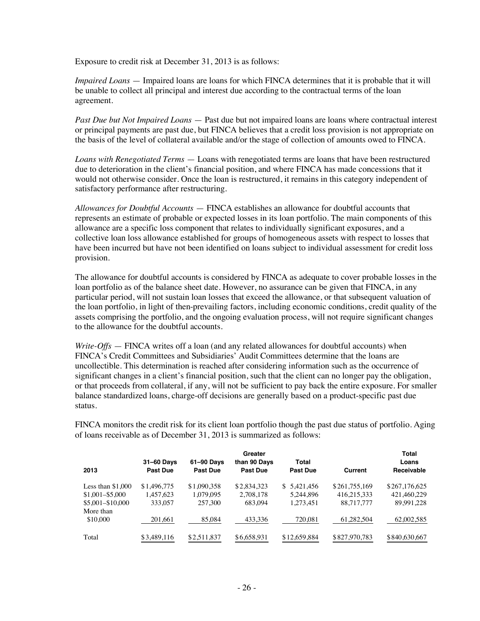Exposure to credit risk at December 31, 2013 is as follows:

*Impaired Loans* — Impaired loans are loans for which FINCA determines that it is probable that it will be unable to collect all principal and interest due according to the contractual terms of the loan agreement.

*Past Due but Not Impaired Loans* — Past due but not impaired loans are loans where contractual interest or principal payments are past due, but FINCA believes that a credit loss provision is not appropriate on the basis of the level of collateral available and/or the stage of collection of amounts owed to FINCA.

*Loans with Renegotiated Terms* — Loans with renegotiated terms are loans that have been restructured due to deterioration in the client's financial position, and where FINCA has made concessions that it would not otherwise consider. Once the loan is restructured, it remains in this category independent of satisfactory performance after restructuring.

*Allowances for Doubtful Accounts* — FINCA establishes an allowance for doubtful accounts that represents an estimate of probable or expected losses in its loan portfolio. The main components of this allowance are a specific loss component that relates to individually significant exposures, and a collective loan loss allowance established for groups of homogeneous assets with respect to losses that have been incurred but have not been identified on loans subject to individual assessment for credit loss provision.

The allowance for doubtful accounts is considered by FINCA as adequate to cover probable losses in the loan portfolio as of the balance sheet date. However, no assurance can be given that FINCA, in any particular period, will not sustain loan losses that exceed the allowance, or that subsequent valuation of the loan portfolio, in light of then-prevailing factors, including economic conditions, credit quality of the assets comprising the portfolio, and the ongoing evaluation process, will not require significant changes to the allowance for the doubtful accounts.

*Write-Offs* — FINCA writes off a loan (and any related allowances for doubtful accounts) when FINCA's Credit Committees and Subsidiaries' Audit Committees determine that the loans are uncollectible. This determination is reached after considering information such as the occurrence of significant changes in a client's financial position, such that the client can no longer pay the obligation, or that proceeds from collateral, if any, will not be sufficient to pay back the entire exposure. For smaller balance standardized loans, charge-off decisions are generally based on a product-specific past due status.

FINCA monitors the credit risk for its client loan portfolio though the past due status of portfolio. Aging of loans receivable as of December 31, 2013 is summarized as follows:

|                       |                               |                        | Greater                         |                   |               | Total               |
|-----------------------|-------------------------------|------------------------|---------------------------------|-------------------|---------------|---------------------|
| 2013                  | 31-60 Days<br><b>Past Due</b> | 61-90 Days<br>Past Due | than 90 Days<br><b>Past Due</b> | Total<br>Past Due | Current       | Loans<br>Receivable |
| Less than $$1,000$    | \$1,496,775                   | \$1,090,358            | \$2,834,323                     | 5,421,456<br>\$.  | \$261,755,169 | \$267,176,625       |
| $$1.001 - $5.000$     | 1.457.623                     | 1.079.095              | 2.708.178                       | 5.244.896         | 416.215.333   | 421,460,229         |
| \$5,001-\$10,000      | 333,057                       | 257,300                | 683.094                         | 1.273.451         | 88,717,777    | 89,991,228          |
| More than<br>\$10,000 | 201,661                       | 85,084                 | 433,336                         | 720.081           | 61,282,504    | 62,002,585          |
| Total                 | \$3,489,116                   | \$2,511,837            | \$6,658,931                     | \$12,659,884      | \$827,970,783 | \$840,630,667       |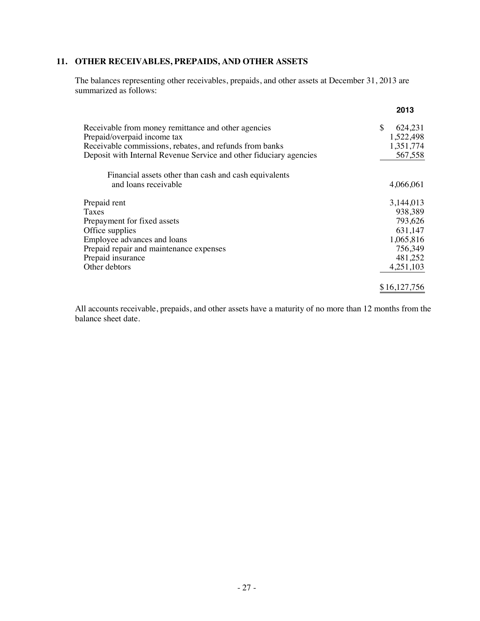# **11. OTHER RECEIVABLES, PREPAIDS, AND OTHER ASSETS**

The balances representing other receivables, prepaids, and other assets at December 31, 2013 are summarized as follows:

|                                                                    | 2013           |
|--------------------------------------------------------------------|----------------|
| Receivable from money remittance and other agencies                | \$.<br>624,231 |
| Prepaid/overpaid income tax                                        | 1,522,498      |
| Receivable commissions, rebates, and refunds from banks            | 1,351,774      |
| Deposit with Internal Revenue Service and other fiduciary agencies | 567,558        |
| Financial assets other than cash and cash equivalents              |                |
| and loans receivable                                               | 4,066,061      |
| Prepaid rent                                                       | 3,144,013      |
| Taxes                                                              | 938,389        |
| Prepayment for fixed assets                                        | 793,626        |
| Office supplies                                                    | 631,147        |
| Employee advances and loans                                        | 1,065,816      |
| Prepaid repair and maintenance expenses                            | 756,349        |
| Prepaid insurance                                                  | 481,252        |
| Other debtors                                                      | 4,251,103      |
|                                                                    | \$16,127,756   |

All accounts receivable, prepaids, and other assets have a maturity of no more than 12 months from the balance sheet date.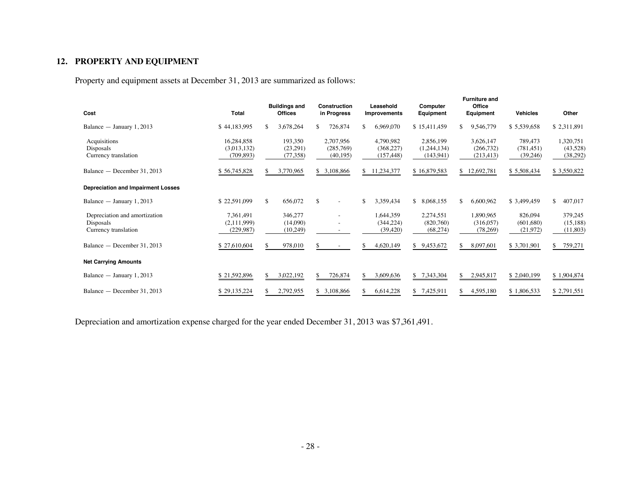# **12. PROPERTY AND EQUIPMENT**

Property and equipment assets at December 31, 2013 are summarized as follows:

| Cost                                                               | <b>Total</b>                            |     | <b>Buildings and</b><br><b>Offices</b> |     | <b>Construction</b><br>in Progress  |     | Leasehold<br><b>Improvements</b>      | Computer<br>Equipment                  |     | <b>Furniture and</b><br>Office<br>Equipment | <b>Vehicles</b>                   |    | Other                             |
|--------------------------------------------------------------------|-----------------------------------------|-----|----------------------------------------|-----|-------------------------------------|-----|---------------------------------------|----------------------------------------|-----|---------------------------------------------|-----------------------------------|----|-----------------------------------|
| Balance $-$ January 1, 2013                                        | \$44,183,995                            | \$  | 3,678,264                              | \$. | 726,874                             | \$. | 6,969,070                             | \$15,411,459                           | \$. | 9,546,779                                   | \$5,539,658                       |    | \$2,311,891                       |
| Acquisitions<br>Disposals<br>Currency translation                  | 16,284,858<br>(3.013.132)<br>(709, 893) |     | 193,350<br>(23,291)<br>(77, 358)       |     | 2,707,956<br>(285,769)<br>(40, 195) |     | 4,790,982<br>(368, 227)<br>(157, 448) | 2,856,199<br>(1,244,134)<br>(143, 941) |     | 3,626,147<br>(266, 732)<br>(213, 413)       | 789,473<br>(781, 451)<br>(39,246) |    | 1,320,751<br>(43,528)<br>(38,292) |
| Balance — December 31, 2013                                        | \$56,745,828                            | \$. | 3,770,965                              |     | \$3,108,866                         | S.  | 11,234,377                            | \$16,879,583                           | S.  | 12,692,781                                  | \$5,508,434                       |    | \$3,550,822                       |
| <b>Depreciation and Impairment Losses</b>                          |                                         |     |                                        |     |                                     |     |                                       |                                        |     |                                             |                                   |    |                                   |
| Balance $-$ January 1, 2013                                        | \$22,591,099                            | \$  | 656,072                                | \$  | ٠                                   | \$  | 3,359,434                             | \$<br>8,068,155                        | \$  | 6,600,962                                   | \$3,499,459                       | \$ | 407,017                           |
| Depreciation and amortization<br>Disposals<br>Currency translation | 7,361,491<br>(2.111.999)<br>(229, 987)  |     | 346,277<br>(14.090)<br>(10,249)        |     |                                     |     | 1,644,359<br>(344.224)<br>(39, 420)   | 2,274,551<br>(820.760)<br>(68, 274)    |     | 1,890,965<br>(316.057)<br>(78,269)          | 826,094<br>(601.680)<br>(21, 972) |    | 379,245<br>(15, 188)<br>(11,803)  |
| Balance - December 31, 2013                                        | \$27,610,604                            | \$  | 978,010                                | S.  | $\overline{\phantom{a}}$            |     | 4,620,149                             | 9,453,672<br>\$                        | \$. | 8,097,601                                   | \$3,701,901                       | S. | 759,271                           |
| <b>Net Carrying Amounts</b>                                        |                                         |     |                                        |     |                                     |     |                                       |                                        |     |                                             |                                   |    |                                   |
| Balance $-$ January 1, 2013                                        | \$21,592,896                            | \$  | 3,022,192                              | \$. | 726,874                             | S.  | 3,609,636                             | \$7,343,304                            | \$  | 2,945,817                                   | \$2,040,199                       |    | \$1,904,874                       |
| Balance — December 31, 2013                                        | \$29,135,224                            | S   | 2,792,955                              |     | \$3,108,866                         | S.  | 6,614,228                             | 7,425,911<br>\$                        | \$  | 4,595,180                                   | \$1,806,533                       |    | \$2,791,551                       |

Depreciation and amortization expense charged for the year ended December 31, 2013 was \$7,361,491.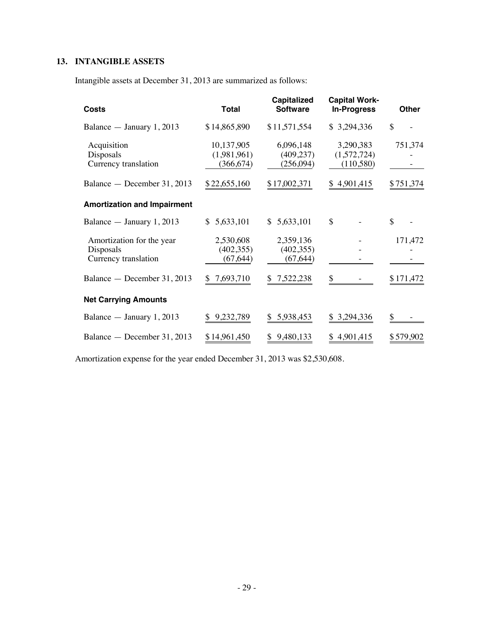# **13. INTANGIBLE ASSETS**

Intangible assets at December 31, 2013 are summarized as follows:

| <b>Costs</b>                                                   | <b>Total</b>                            | <b>Capitalized</b><br><b>Software</b> | <b>Capital Work-</b><br><b>In-Progress</b> | <b>Other</b> |
|----------------------------------------------------------------|-----------------------------------------|---------------------------------------|--------------------------------------------|--------------|
| Balance $-$ January 1, 2013                                    | \$14,865,890                            | \$11,571,554                          | \$3,294,336                                | \$           |
| Acquisition<br>Disposals<br>Currency translation               | 10,137,905<br>(1,981,961)<br>(366, 674) | 6,096,148<br>(409, 237)<br>(256,094)  | 3,290,383<br>(1,572,724)<br>(110,580)      | 751,374      |
| Balance — December 31, 2013                                    | \$22,655,160                            | \$17,002,371                          | \$4,901,415                                | \$751,374    |
| <b>Amortization and Impairment</b>                             |                                         |                                       |                                            |              |
| Balance $-$ January 1, 2013                                    | \$5,633,101                             | 5,633,101<br>\$                       | \$                                         | \$           |
| Amortization for the year<br>Disposals<br>Currency translation | 2,530,608<br>(402, 355)<br>(67, 644)    | 2,359,136<br>(402, 355)<br>(67, 644)  |                                            | 171,472      |
| Balance - December 31, 2013                                    | \$7,693,710                             | 7,522,238<br>\$                       | \$                                         | \$171,472    |
| <b>Net Carrying Amounts</b>                                    |                                         |                                       |                                            |              |
| Balance $-$ January 1, 2013                                    | 9,232,789                               | 5,938,453<br>\$                       | \$ 3,294,336                               | \$           |
| Balance — December 31, 2013                                    | \$14,961,450                            | 9,480,133<br>\$                       | \$4,901,415                                | \$579,902    |

Amortization expense for the year ended December 31, 2013 was \$2,530,608.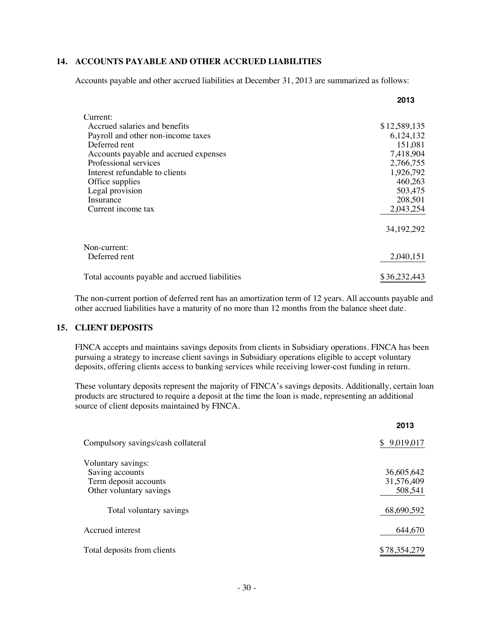## **14. ACCOUNTS PAYABLE AND OTHER ACCRUED LIABILITIES**

Accounts payable and other accrued liabilities at December 31, 2013 are summarized as follows:

|                                                | 2013         |
|------------------------------------------------|--------------|
| Current:                                       |              |
| Accrued salaries and benefits                  | \$12,589,135 |
| Payroll and other non-income taxes             | 6, 124, 132  |
| Deferred rent                                  | 151,081      |
| Accounts payable and accrued expenses          | 7,418,904    |
| Professional services                          | 2,766,755    |
| Interest refundable to clients                 | 1,926,792    |
| Office supplies                                | 460,263      |
| Legal provision                                | 503,475      |
| Insurance                                      | 208,501      |
| Current income tax                             | 2,043,254    |
|                                                | 34, 192, 292 |
| Non-current:                                   |              |
| Deferred rent                                  | 2,040,151    |
| Total accounts payable and accrued liabilities | \$36,232,443 |

The non-current portion of deferred rent has an amortization term of 12 years. All accounts payable and other accrued liabilities have a maturity of no more than 12 months from the balance sheet date.

#### **15. CLIENT DEPOSITS**

FINCA accepts and maintains savings deposits from clients in Subsidiary operations. FINCA has been pursuing a strategy to increase client savings in Subsidiary operations eligible to accept voluntary deposits, offering clients access to banking services while receiving lower-cost funding in return.

These voluntary deposits represent the majority of FINCA's savings deposits. Additionally, certain loan products are structured to require a deposit at the time the loan is made, representing an additional source of client deposits maintained by FINCA.

|                                    | 2013            |
|------------------------------------|-----------------|
| Compulsory savings/cash collateral | 9,019,017<br>S. |
| Voluntary savings:                 |                 |
| Saving accounts                    | 36,605,642      |
| Term deposit accounts              | 31,576,409      |
| Other voluntary savings            | 508,541         |
| Total voluntary savings            | 68,690,592      |
| Accrued interest                   | 644,670         |
| Total deposits from clients        | \$78,354,279    |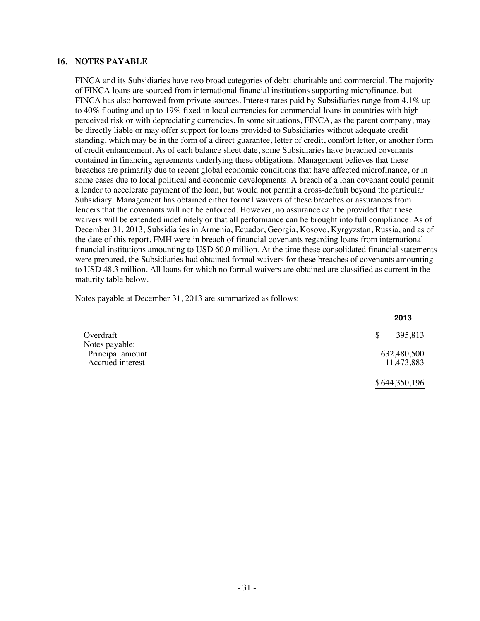#### **16. NOTES PAYABLE**

FINCA and its Subsidiaries have two broad categories of debt: charitable and commercial. The majority of FINCA loans are sourced from international financial institutions supporting microfinance, but FINCA has also borrowed from private sources. Interest rates paid by Subsidiaries range from 4.1% up to 40% floating and up to 19% fixed in local currencies for commercial loans in countries with high perceived risk or with depreciating currencies. In some situations, FINCA, as the parent company, may be directly liable or may offer support for loans provided to Subsidiaries without adequate credit standing, which may be in the form of a direct guarantee, letter of credit, comfort letter, or another form of credit enhancement. As of each balance sheet date, some Subsidiaries have breached covenants contained in financing agreements underlying these obligations. Management believes that these breaches are primarily due to recent global economic conditions that have affected microfinance, or in some cases due to local political and economic developments. A breach of a loan covenant could permit a lender to accelerate payment of the loan, but would not permit a cross-default beyond the particular Subsidiary. Management has obtained either formal waivers of these breaches or assurances from lenders that the covenants will not be enforced. However, no assurance can be provided that these waivers will be extended indefinitely or that all performance can be brought into full compliance. As of December 31, 2013, Subsidiaries in Armenia, Ecuador, Georgia, Kosovo, Kyrgyzstan, Russia, and as of the date of this report, FMH were in breach of financial covenants regarding loans from international financial institutions amounting to USD 60.0 million. At the time these consolidated financial statements were prepared, the Subsidiaries had obtained formal waivers for these breaches of covenants amounting to USD 48.3 million. All loans for which no formal waivers are obtained are classified as current in the maturity table below.

Notes payable at December 31, 2013 are summarized as follows:

|                                                        | 2013                      |
|--------------------------------------------------------|---------------------------|
| Overdraft                                              | 395,813<br><sup>\$</sup>  |
| Notes payable:<br>Principal amount<br>Accrued interest | 632,480,500<br>11,473,883 |
|                                                        | \$644,350,196             |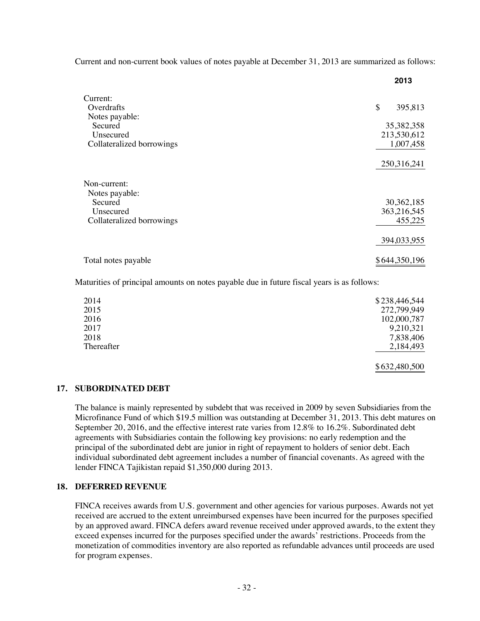Current and non-current book values of notes payable at December 31, 2013 are summarized as follows:

|                           | 2013          |
|---------------------------|---------------|
| Current:                  |               |
| Overdrafts                | \$<br>395,813 |
| Notes payable:            |               |
| Secured                   | 35, 382, 358  |
| Unsecured                 | 213,530,612   |
| Collateralized borrowings | 1,007,458     |
|                           |               |
|                           | 250,316,241   |
|                           |               |
| Non-current:              |               |
| Notes payable:            |               |
| Secured                   | 30, 362, 185  |
| Unsecured                 | 363,216,545   |
| Collateralized borrowings | 455,225       |
|                           |               |
|                           | 394,033,955   |
|                           |               |
| Total notes payable       | \$644,350,196 |

Maturities of principal amounts on notes payable due in future fiscal years is as follows:

| 2014       | \$238,446,544 |
|------------|---------------|
| 2015       | 272,799,949   |
| 2016       | 102,000,787   |
| 2017       | 9,210,321     |
| 2018       | 7,838,406     |
| Thereafter | 2,184,493     |
|            | \$632,480,500 |

#### **17. SUBORDINATED DEBT**

The balance is mainly represented by subdebt that was received in 2009 by seven Subsidiaries from the Microfinance Fund of which \$19.5 million was outstanding at December 31, 2013. This debt matures on September 20, 2016, and the effective interest rate varies from 12.8% to 16.2%. Subordinated debt agreements with Subsidiaries contain the following key provisions: no early redemption and the principal of the subordinated debt are junior in right of repayment to holders of senior debt. Each individual subordinated debt agreement includes a number of financial covenants. As agreed with the lender FINCA Tajikistan repaid \$1,350,000 during 2013.

#### **18. DEFERRED REVENUE**

FINCA receives awards from U.S. government and other agencies for various purposes. Awards not yet received are accrued to the extent unreimbursed expenses have been incurred for the purposes specified by an approved award. FINCA defers award revenue received under approved awards, to the extent they exceed expenses incurred for the purposes specified under the awards' restrictions. Proceeds from the monetization of commodities inventory are also reported as refundable advances until proceeds are used for program expenses.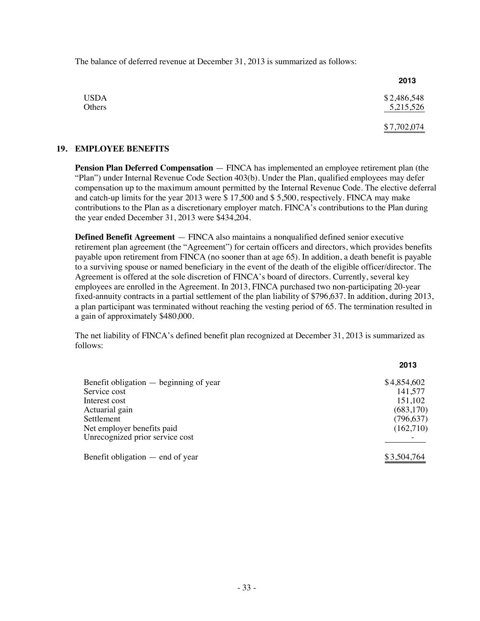The balance of deferred revenue at December 31, 2013 is summarized as follows:

|             | 2013        |
|-------------|-------------|
| <b>USDA</b> | \$2,486,548 |
| Others      | 5,215,526   |
|             | \$7,702,074 |

#### **19. EMPLOYEE BENEFITS**

**Pension Plan Deferred Compensation** — FINCA has implemented an employee retirement plan (the "Plan") under Internal Revenue Code Section 403(b). Under the Plan, qualified employees may defer compensation up to the maximum amount permitted by the Internal Revenue Code. The elective deferral and catch-up limits for the year 2013 were \$ 17,500 and \$ 5,500, respectively. FINCA may make contributions to the Plan as a discretionary employer match. FINCA's contributions to the Plan during the year ended December 31, 2013 were \$434,204.

**Defined Benefit Agreement** — FINCA also maintains a nonqualified defined senior executive retirement plan agreement (the "Agreement") for certain officers and directors, which provides benefits payable upon retirement from FINCA (no sooner than at age 65). In addition, a death benefit is payable to a surviving spouse or named beneficiary in the event of the death of the eligible officer/director. The Agreement is offered at the sole discretion of FINCA's board of directors. Currently, several key employees are enrolled in the Agreement. In 2013, FINCA purchased two non-participating 20-year fixed-annuity contracts in a partial settlement of the plan liability of \$796,637. In addition, during 2013, a plan participant was terminated without reaching the vesting period of 65. The termination resulted in a gain of approximately \$480,000.

The net liability of FINCA's defined benefit plan recognized at December 31, 2013 is summarized as follows:

**2013**

|                                        | נו ט        |
|----------------------------------------|-------------|
| Benefit obligation — beginning of year | \$4,854,602 |
| Service cost                           | 141,577     |
| Interest cost                          | 151,102     |
| Actuarial gain                         | (683,170)   |
| Settlement                             | (796, 637)  |
| Net employer benefits paid             | (162,710)   |
| Unrecognized prior service cost        |             |
| Benefit obligation $-$ end of year     | \$3,504,764 |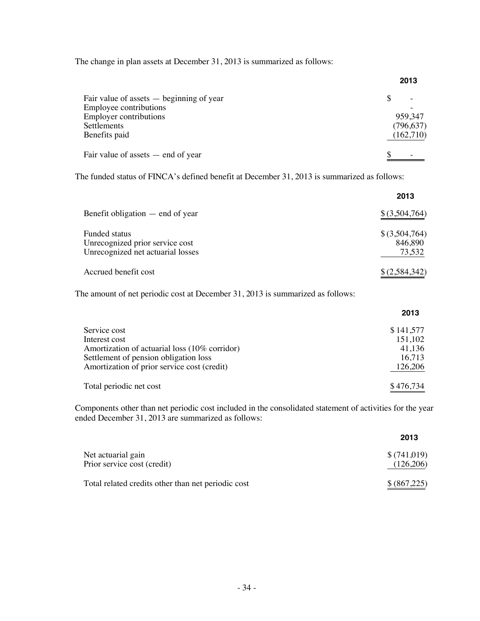The change in plan assets at December 31, 2013 is summarized as follows:

|                                            | 2013       |
|--------------------------------------------|------------|
| Fair value of assets $-$ beginning of year |            |
| Employee contributions                     |            |
| <b>Employer contributions</b>              | 959,347    |
| Settlements                                | (796, 637) |
| Benefits paid                              | (162,710)  |
| Fair value of assets $-$ end of year       |            |

The funded status of FINCA's defined benefit at December 31, 2013 is summarized as follows:

|                                                                                       | 2013                                 |
|---------------------------------------------------------------------------------------|--------------------------------------|
| Benefit obligation $-$ end of year                                                    | $$$ $(3,504,764)$                    |
| Funded status<br>Unrecognized prior service cost<br>Unrecognized net actuarial losses | $$$ (3,504,764)<br>846,890<br>73,532 |
| Accrued benefit cost                                                                  | \$(2,584,342)                        |

The amount of net periodic cost at December 31, 2013 is summarized as follows:

|                                               | 2013      |
|-----------------------------------------------|-----------|
| Service cost                                  | \$141,577 |
| Interest cost                                 | 151,102   |
| Amortization of actuarial loss (10% corridor) | 41.136    |
| Settlement of pension obligation loss         | 16.713    |
| Amortization of prior service cost (credit)   | 126,206   |
| Total periodic net cost                       | \$476,734 |

Components other than net periodic cost included in the consolidated statement of activities for the year ended December 31, 2013 are summarized as follows:

|                                                    | 2013         |
|----------------------------------------------------|--------------|
| Net actuarial gain                                 | \$(741,019)  |
| Prior service cost (credit)                        | (126,206)    |
| Total related credits other than net periodic cost | \$ (867,225) |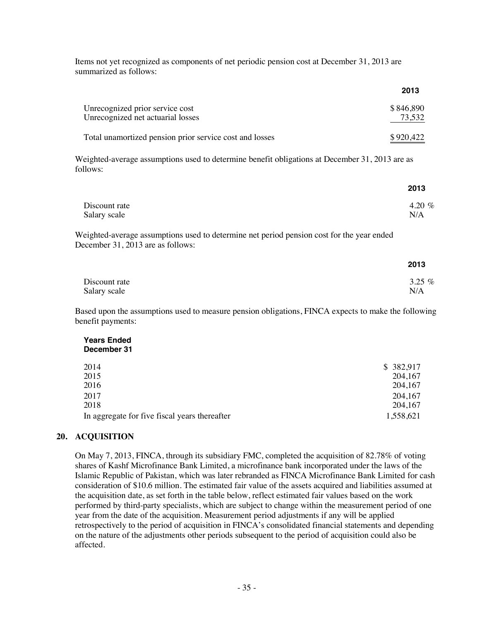Items not yet recognized as components of net periodic pension cost at December 31, 2013 are summarized as follows:

|                                                                                                            | 2013      |
|------------------------------------------------------------------------------------------------------------|-----------|
| Unrecognized prior service cost                                                                            | \$846,890 |
| Unrecognized net actuarial losses                                                                          | 73,532    |
| Total unamortized pension prior service cost and losses                                                    | \$920,422 |
| Weighted-average assumptions used to determine benefit obligations at December 31, 2013 are as<br>follows: |           |
|                                                                                                            | 2013      |
| Discount rate                                                                                              | 4.20 $\%$ |

Salary scale N/A

Weighted-average assumptions used to determine net period pension cost for the year ended December 31, 2013 are as follows:

|               | 2013     |
|---------------|----------|
| Discount rate | 3.25 $%$ |
| Salary scale  | N/A      |

Based upon the assumptions used to measure pension obligations, FINCA expects to make the following benefit payments:

#### **Years Ended December 31**

| 2014                                          | \$ 382,917 |
|-----------------------------------------------|------------|
| 2015                                          | 204,167    |
| 2016                                          | 204,167    |
| 2017                                          | 204,167    |
| 2018                                          | 204,167    |
| In aggregate for five fiscal years thereafter | 1,558,621  |
|                                               |            |

#### **20. ACQUISITION**

On May 7, 2013, FINCA, through its subsidiary FMC, completed the acquisition of 82.78% of voting shares of Kashf Microfinance Bank Limited, a microfinance bank incorporated under the laws of the Islamic Republic of Pakistan, which was later rebranded as FINCA Microfinance Bank Limited for cash consideration of \$10.6 million. The estimated fair value of the assets acquired and liabilities assumed at the acquisition date, as set forth in the table below, reflect estimated fair values based on the work performed by third-party specialists, which are subject to change within the measurement period of one year from the date of the acquisition. Measurement period adjustments if any will be applied retrospectively to the period of acquisition in FINCA's consolidated financial statements and depending on the nature of the adjustments other periods subsequent to the period of acquisition could also be affected.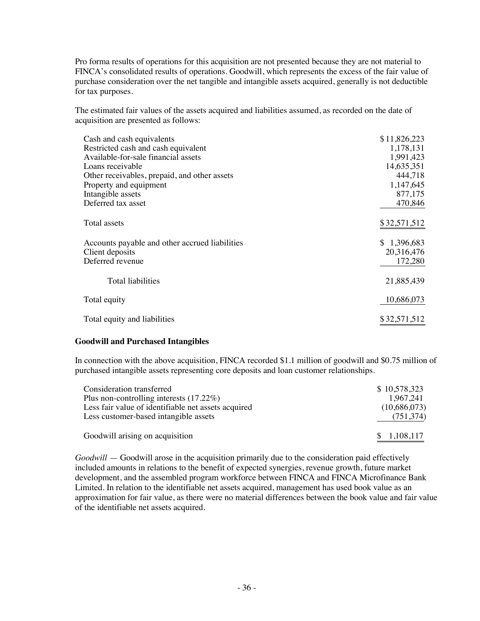Pro forma results of operations for this acquisition are not presented because they are not material to FINCA's consolidated results of operations. Goodwill, which represents the excess of the fair value of purchase consideration over the net tangible and intangible assets acquired, generally is not deductible for tax purposes.

The estimated fair values of the assets acquired and liabilities assumed, as recorded on the date of acquisition are presented as follows:

| Cash and cash equivalents                      | \$11,826,223 |
|------------------------------------------------|--------------|
| Restricted cash and cash equivalent            | 1,178,131    |
| Available-for-sale financial assets            | 1,991,423    |
| Loans receivable                               | 14,635,351   |
| Other receivables, prepaid, and other assets   | 444,718      |
| Property and equipment                         | 1,147,645    |
| Intangible assets                              | 877,175      |
| Deferred tax asset                             | 470,846      |
|                                                |              |
| Total assets                                   | \$32,571,512 |
|                                                |              |
| Accounts payable and other accrued liabilities | \$1,396,683  |
| Client deposits                                | 20,316,476   |
| Deferred revenue                               | 172,280      |
|                                                |              |
| Total liabilities                              | 21,885,439   |
|                                                |              |
| Total equity                                   | 10,686,073   |
|                                                |              |
| Total equity and liabilities                   | \$32,571,512 |

#### **Goodwill and Purchased Intangibles**

In connection with the above acquisition, FINCA recorded \$1.1 million of goodwill and \$0.75 million of purchased intangible assets representing core deposits and loan customer relationships.

| Consideration transferred                           | \$10,578,323 |
|-----------------------------------------------------|--------------|
| Plus non-controlling interests $(17.22\%)$          | 1.967.241    |
| Less fair value of identifiable net assets acquired | (10,686,073) |
| Less customer-based intangible assets               | (751, 374)   |
| Goodwill arising on acquisition                     | \$1,108,117  |

*Goodwill* — Goodwill arose in the acquisition primarily due to the consideration paid effectively included amounts in relations to the benefit of expected synergies, revenue growth, future market development, and the assembled program workforce between FINCA and FINCA Microfinance Bank Limited. In relation to the identifiable net assets acquired, management has used book value as an approximation for fair value, as there were no material differences between the book value and fair value of the identifiable net assets acquired.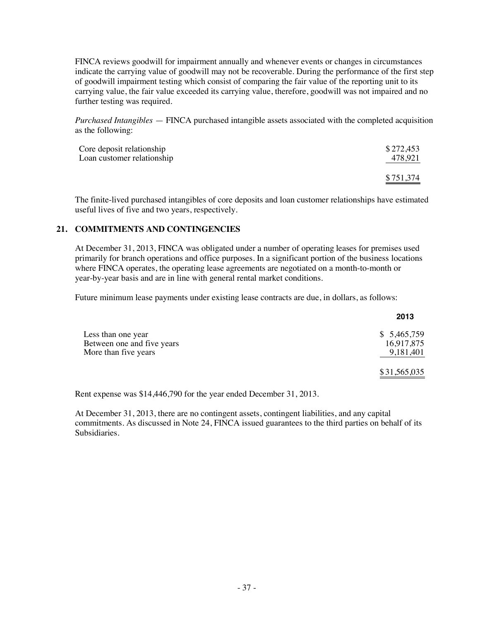FINCA reviews goodwill for impairment annually and whenever events or changes in circumstances indicate the carrying value of goodwill may not be recoverable. During the performance of the first step of goodwill impairment testing which consist of comparing the fair value of the reporting unit to its carrying value, the fair value exceeded its carrying value, therefore, goodwill was not impaired and no further testing was required.

*Purchased Intangibles* — FINCA purchased intangible assets associated with the completed acquisition as the following:

| Core deposit relationship  | \$272,453 |
|----------------------------|-----------|
| Loan customer relationship | 478.921   |
|                            | \$751,374 |

The finite-lived purchased intangibles of core deposits and loan customer relationships have estimated useful lives of five and two years, respectively.

### **21. COMMITMENTS AND CONTINGENCIES**

At December 31, 2013, FINCA was obligated under a number of operating leases for premises used primarily for branch operations and office purposes. In a significant portion of the business locations where FINCA operates, the operating lease agreements are negotiated on a month-to-month or year-by-year basis and are in line with general rental market conditions.

Future minimum lease payments under existing lease contracts are due, in dollars, as follows:

|                            | 2013         |
|----------------------------|--------------|
| Less than one year         | \$5,465,759  |
| Between one and five years | 16,917,875   |
| More than five years       | 9,181,401    |
|                            | \$31,565,035 |

Rent expense was \$14,446,790 for the year ended December 31, 2013.

At December 31, 2013, there are no contingent assets, contingent liabilities, and any capital commitments. As discussed in Note 24, FINCA issued guarantees to the third parties on behalf of its Subsidiaries.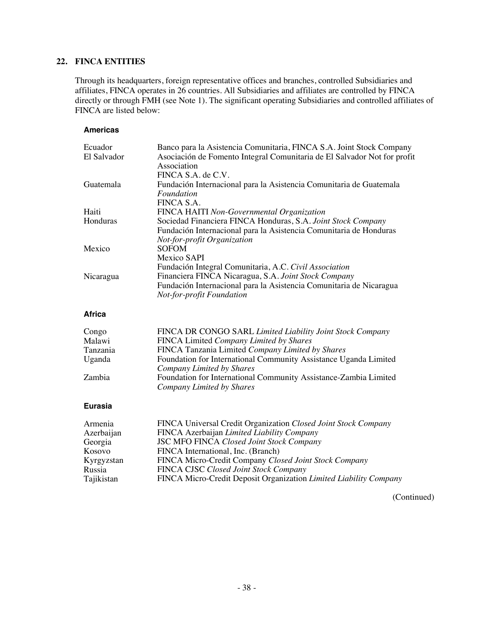### **22. FINCA ENTITIES**

Through its headquarters, foreign representative offices and branches, controlled Subsidiaries and affiliates, FINCA operates in 26 countries. All Subsidiaries and affiliates are controlled by FINCA directly or through FMH (see Note 1). The significant operating Subsidiaries and controlled affiliates of FINCA are listed below:

### **Americas**

| Ecuador     | Banco para la Asistencia Comunitaria, FINCA S.A. Joint Stock Company     |
|-------------|--------------------------------------------------------------------------|
| El Salvador | Asociación de Fomento Integral Comunitaria de El Salvador Not for profit |
|             | Association                                                              |
|             | FINCA S.A. de C.V.                                                       |
| Guatemala   | Fundación Internacional para la Asistencia Comunitaria de Guatemala      |
|             | Foundation                                                               |
|             | FINCA S.A.                                                               |
| Haiti       | FINCA HAITI Non-Governmental Organization                                |
| Honduras    | Sociedad Financiera FINCA Honduras, S.A. Joint Stock Company             |
|             | Fundación Internacional para la Asistencia Comunitaria de Honduras       |
|             | Not-for-profit Organization                                              |
| Mexico      | <b>SOFOM</b>                                                             |
|             | Mexico SAPI                                                              |
|             | Fundación Integral Comunitaria, A.C. Civil Association                   |
| Nicaragua   | Financiera FINCA Nicaragua, S.A. Joint Stock Company                     |
|             | Fundación Internacional para la Asistencia Comunitaria de Nicaragua      |
|             | Not-for-profit Foundation                                                |
|             |                                                                          |

#### **Africa**

| Congo    | FINCA DR CONGO SARL Limited Liability Joint Stock Company        |
|----------|------------------------------------------------------------------|
| Malawi   | FINCA Limited Company Limited by Shares                          |
| Tanzania | FINCA Tanzania Limited Company Limited by Shares                 |
| Uganda   | Foundation for International Community Assistance Uganda Limited |
|          | Company Limited by Shares                                        |
| Zambia   | Foundation for International Community Assistance-Zambia Limited |
|          | Company Limited by Shares                                        |

#### **Eurasia**

| Armenia    | FINCA Universal Credit Organization Closed Joint Stock Company    |
|------------|-------------------------------------------------------------------|
| Azerbaijan | FINCA Azerbaijan Limited Liability Company                        |
| Georgia    | <b>JSC MFO FINCA Closed Joint Stock Company</b>                   |
| Kosovo     | FINCA International, Inc. (Branch)                                |
| Kyrgyzstan | FINCA Micro-Credit Company Closed Joint Stock Company             |
| Russia     | <b>FINCA CJSC Closed Joint Stock Company</b>                      |
| Tajikistan | FINCA Micro-Credit Deposit Organization Limited Liability Company |

(Continued)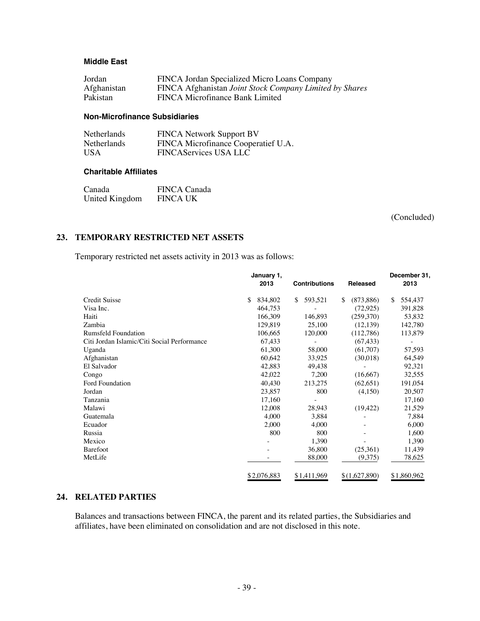#### **Middle East**

| Jordan      | FINCA Jordan Specialized Micro Loans Company            |
|-------------|---------------------------------------------------------|
| Afghanistan | FINCA Afghanistan Joint Stock Company Limited by Shares |
| Pakistan    | FINCA Microfinance Bank Limited                         |

#### **Non-Microfinance Subsidiaries**

| Netherlands | <b>FINCA Network Support BV</b>     |
|-------------|-------------------------------------|
| Netherlands | FINCA Microfinance Cooperatief U.A. |
| USA         | <b>FINCAServices USA LLC</b>        |

#### **Charitable Affiliates**

| Canada         | <b>FINCA Canada</b> |
|----------------|---------------------|
| United Kingdom | <b>FINCA UK</b>     |

(Concluded)

## **23. TEMPORARY RESTRICTED NET ASSETS**

Temporary restricted net assets activity in 2013 was as follows:

|                                             | January 1,<br>2013<br><b>Contributions</b> |               | Released         | December 31,<br>2013 |  |
|---------------------------------------------|--------------------------------------------|---------------|------------------|----------------------|--|
| <b>Credit Suisse</b>                        | \$<br>834,802                              | 593,521<br>\$ | \$<br>(873, 886) | \$<br>554,437        |  |
| Visa Inc.                                   | 464,753                                    |               | (72, 925)        | 391,828              |  |
| Haiti                                       | 166,309                                    | 146,893       | (259,370)        | 53,832               |  |
| Zambia                                      | 129,819                                    | 25,100        | (12, 139)        | 142,780              |  |
| <b>Rumsfeld Foundation</b>                  | 106,665                                    | 120,000       | (112,786)        | 113,879              |  |
| Citi Jordan Islamic/Citi Social Performance | 67,433                                     |               | (67, 433)        |                      |  |
| Uganda                                      | 61,300                                     | 58,000        | (61,707)         | 57,593               |  |
| Afghanistan                                 | 60,642                                     | 33,925        | (30,018)         | 64,549               |  |
| El Salvador                                 | 42,883                                     | 49,438        |                  | 92,321               |  |
| Congo                                       | 42,022                                     | 7,200         | (16,667)         | 32,555               |  |
| Ford Foundation                             | 40,430                                     | 213,275       | (62, 651)        | 191,054              |  |
| Jordan                                      | 23,857                                     | 800           | (4,150)          | 20,507               |  |
| Tanzania                                    | 17,160                                     |               |                  | 17,160               |  |
| Malawi                                      | 12,008                                     | 28,943        | (19, 422)        | 21,529               |  |
| Guatemala                                   | 4,000                                      | 3,884         |                  | 7,884                |  |
| Ecuador                                     | 2,000                                      | 4,000         |                  | 6,000                |  |
| Russia                                      | 800                                        | 800           |                  | 1,600                |  |
| Mexico                                      | -                                          | 1,390         |                  | 1,390                |  |
| Barefoot                                    |                                            | 36,800        | (25,361)         | 11,439               |  |
| MetLife                                     |                                            | 88,000        | (9,375)          | 78,625               |  |
|                                             | \$2,076,883                                | \$1,411,969   | \$(1,627,890)    | \$1,860,962          |  |

#### **24. RELATED PARTIES**

Balances and transactions between FINCA, the parent and its related parties, the Subsidiaries and affiliates, have been eliminated on consolidation and are not disclosed in this note.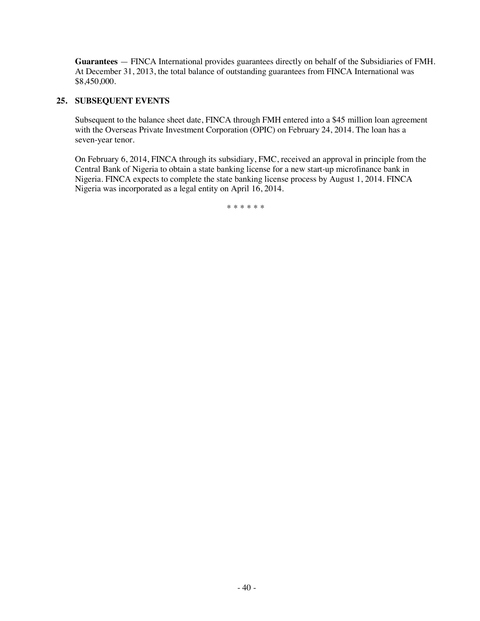**Guarantees** — FINCA International provides guarantees directly on behalf of the Subsidiaries of FMH. At December 31, 2013, the total balance of outstanding guarantees from FINCA International was \$8,450,000.

#### **25. SUBSEQUENT EVENTS**

Subsequent to the balance sheet date, FINCA through FMH entered into a \$45 million loan agreement with the Overseas Private Investment Corporation (OPIC) on February 24, 2014. The loan has a seven-year tenor.

On February 6, 2014, FINCA through its subsidiary, FMC, received an approval in principle from the Central Bank of Nigeria to obtain a state banking license for a new start-up microfinance bank in Nigeria. FINCA expects to complete the state banking license process by August 1, 2014. FINCA Nigeria was incorporated as a legal entity on April 16, 2014.

\*\*\*\*\*\*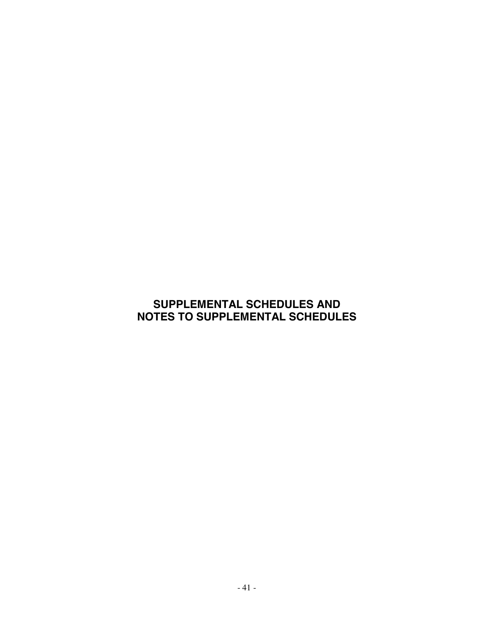# **SUPPLEMENTAL SCHEDULES AND NOTES TO SUPPLEMENTAL SCHEDULES**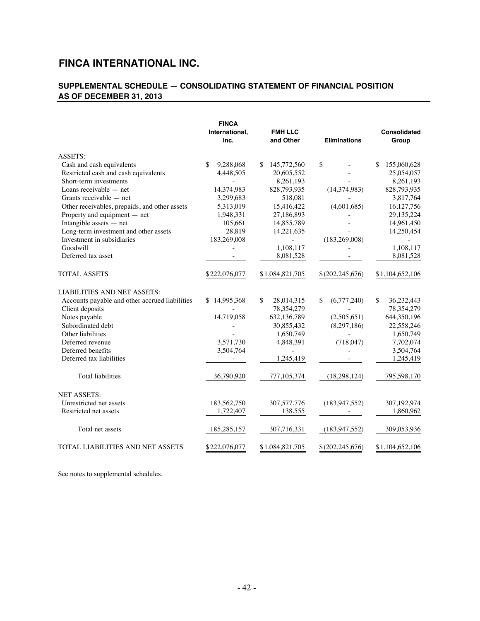# **SUPPLEMENTAL SCHEDULE — CONSOLIDATING STATEMENT OF FINANCIAL POSITION AS OF DECEMBER 31, 2013**

|                                                | <b>FINCA</b><br>International,<br>Inc. | <b>FMH LLC</b><br>and Other | <b>Eliminations</b> | <b>Consolidated</b><br>Group |
|------------------------------------------------|----------------------------------------|-----------------------------|---------------------|------------------------------|
| <b>ASSETS:</b>                                 |                                        |                             |                     |                              |
| Cash and cash equivalents                      | 9,288,068<br>\$                        | \$<br>145,772,560           | \$                  | \$<br>155,060,628            |
| Restricted cash and cash equivalents           | 4,448,505                              | 20,605,552                  |                     | 25,054,057                   |
| Short-term investments                         |                                        | 8,261,193                   |                     | 8,261,193                    |
| Loans receivable $-$ net                       | 14,374,983                             | 828,793,935                 | (14, 374, 983)      | 828,793,935                  |
| Grants receivable - net                        | 3,299,683                              | 518,081                     |                     | 3,817,764                    |
| Other receivables, prepaids, and other assets  | 5,313,019                              | 15,416,422                  | (4,601,685)         | 16,127,756                   |
| Property and equipment - net                   | 1,948,331                              | 27,186,893                  |                     | 29, 135, 224                 |
| Intangible assets $-$ net                      | 105,661                                | 14,855,789                  |                     | 14,961,450                   |
| Long-term investment and other assets          | 28,819                                 | 14,221,635                  |                     | 14,250,454                   |
| Investment in subsidiaries                     | 183,269,008                            |                             | (183, 269, 008)     |                              |
| Goodwill                                       |                                        | 1,108,117                   |                     | 1,108,117                    |
| Deferred tax asset                             |                                        | 8,081,528                   |                     | 8,081,528                    |
| <b>TOTAL ASSETS</b>                            | \$222,076,077                          | \$1,084,821,705             | \$(202,245,676)     | \$1,104,652,106              |
| <b>LIABILITIES AND NET ASSETS:</b>             |                                        |                             |                     |                              |
| Accounts payable and other accrued liabilities | \$14,995,368                           | \$<br>28,014,315            | \$<br>(6,777,240)   | \$<br>36,232,443             |
| Client deposits                                |                                        | 78,354,279                  |                     | 78,354,279                   |
| Notes payable                                  | 14,719,058                             | 632,136,789                 | (2,505,651)         | 644,350,196                  |
| Subordinated debt                              |                                        | 30,855,432                  | (8,297,186)         | 22,558,246                   |
| Other liabilities                              |                                        | 1,650,749                   | $\bar{a}$           | 1,650,749                    |
| Deferred revenue                               | 3,571,730                              | 4,848,391                   | (718, 047)          | 7,702,074                    |
| Deferred benefits                              | 3,504,764                              | $\overline{\phantom{a}}$    |                     | 3,504,764                    |
| Deferred tax liabilities                       |                                        | 1,245,419                   |                     | 1,245,419                    |
| <b>Total liabilities</b>                       | 36,790,920                             | 777,105,374                 | (18,298,124)        | 795,598,170                  |
| <b>NET ASSETS:</b>                             |                                        |                             |                     |                              |
| Unrestricted net assets                        | 183,562,750                            | 307,577,776                 | (183, 947, 552)     | 307,192,974                  |
| Restricted net assets                          | 1,722,407                              | 138,555                     |                     | 1,860,962                    |
| Total net assets                               | 185,285,157                            | 307,716,331                 | (183, 947, 552)     | 309,053,936                  |
| TOTAL LIABILITIES AND NET ASSETS               | \$222,076,077                          | \$1,084,821,705             | \$(202,245,676)     | \$1,104,652,106              |

See notes to supplemental schedules.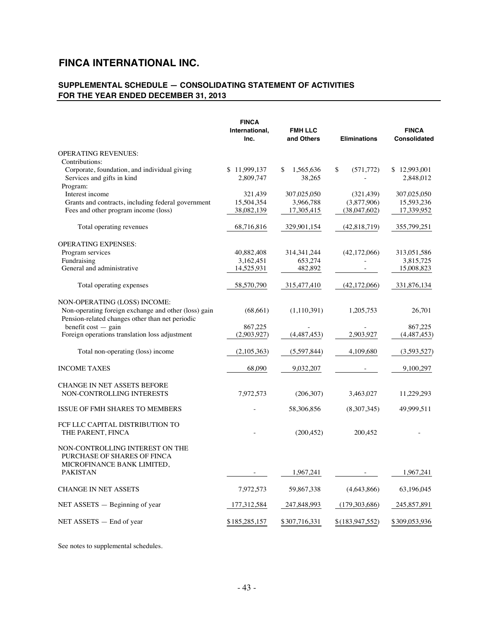# **SUPPLEMENTAL SCHEDULE — CONSOLIDATING STATEMENT OF ACTIVITIES FOR THE YEAR ENDED DECEMBER 31, 2013**

| <b>FINCA</b><br>International,<br>Inc. | <b>FMH LLC</b><br>and Others                                                                                                                                 | <b>Eliminations</b>                                                                                                                                                               | <b>FINCA</b><br>Consolidated                                                                                                                               |
|----------------------------------------|--------------------------------------------------------------------------------------------------------------------------------------------------------------|-----------------------------------------------------------------------------------------------------------------------------------------------------------------------------------|------------------------------------------------------------------------------------------------------------------------------------------------------------|
|                                        |                                                                                                                                                              |                                                                                                                                                                                   |                                                                                                                                                            |
|                                        |                                                                                                                                                              |                                                                                                                                                                                   |                                                                                                                                                            |
| \$11,999,137                           | \$<br>1,565,636                                                                                                                                              | \$<br>(571, 772)                                                                                                                                                                  | \$12,993,001                                                                                                                                               |
| 2,809,747                              | 38,265                                                                                                                                                       |                                                                                                                                                                                   | 2,848,012                                                                                                                                                  |
|                                        |                                                                                                                                                              |                                                                                                                                                                                   |                                                                                                                                                            |
|                                        |                                                                                                                                                              |                                                                                                                                                                                   | 307,025,050                                                                                                                                                |
|                                        |                                                                                                                                                              |                                                                                                                                                                                   | 15,593,236                                                                                                                                                 |
|                                        |                                                                                                                                                              |                                                                                                                                                                                   | 17,339,952                                                                                                                                                 |
|                                        |                                                                                                                                                              |                                                                                                                                                                                   |                                                                                                                                                            |
| 68,716,816                             | 329,901,154                                                                                                                                                  | (42,818,719)                                                                                                                                                                      | 355,799,251                                                                                                                                                |
|                                        |                                                                                                                                                              |                                                                                                                                                                                   |                                                                                                                                                            |
|                                        |                                                                                                                                                              |                                                                                                                                                                                   | 313,051,586                                                                                                                                                |
|                                        |                                                                                                                                                              |                                                                                                                                                                                   | 3,815,725                                                                                                                                                  |
|                                        |                                                                                                                                                              |                                                                                                                                                                                   | 15,008,823                                                                                                                                                 |
|                                        |                                                                                                                                                              |                                                                                                                                                                                   |                                                                                                                                                            |
| 58,570,790                             | 315,477,410                                                                                                                                                  | (42,172,066)                                                                                                                                                                      | 331,876,134                                                                                                                                                |
|                                        |                                                                                                                                                              |                                                                                                                                                                                   |                                                                                                                                                            |
|                                        |                                                                                                                                                              |                                                                                                                                                                                   | 26,701                                                                                                                                                     |
|                                        |                                                                                                                                                              |                                                                                                                                                                                   |                                                                                                                                                            |
|                                        |                                                                                                                                                              |                                                                                                                                                                                   |                                                                                                                                                            |
|                                        |                                                                                                                                                              |                                                                                                                                                                                   | 867,225                                                                                                                                                    |
|                                        |                                                                                                                                                              |                                                                                                                                                                                   | (4,487,453)                                                                                                                                                |
|                                        |                                                                                                                                                              |                                                                                                                                                                                   | (3,593,527)                                                                                                                                                |
|                                        |                                                                                                                                                              |                                                                                                                                                                                   |                                                                                                                                                            |
| 68,090                                 | 9,032,207                                                                                                                                                    |                                                                                                                                                                                   | 9,100,297                                                                                                                                                  |
|                                        |                                                                                                                                                              |                                                                                                                                                                                   |                                                                                                                                                            |
|                                        |                                                                                                                                                              |                                                                                                                                                                                   | 11,229,293                                                                                                                                                 |
|                                        |                                                                                                                                                              |                                                                                                                                                                                   |                                                                                                                                                            |
|                                        |                                                                                                                                                              | (8,307,345)                                                                                                                                                                       | 49,999,511                                                                                                                                                 |
|                                        |                                                                                                                                                              |                                                                                                                                                                                   |                                                                                                                                                            |
|                                        | (200, 452)                                                                                                                                                   | 200,452                                                                                                                                                                           |                                                                                                                                                            |
|                                        |                                                                                                                                                              |                                                                                                                                                                                   |                                                                                                                                                            |
|                                        |                                                                                                                                                              |                                                                                                                                                                                   |                                                                                                                                                            |
|                                        |                                                                                                                                                              |                                                                                                                                                                                   |                                                                                                                                                            |
|                                        |                                                                                                                                                              |                                                                                                                                                                                   |                                                                                                                                                            |
|                                        |                                                                                                                                                              |                                                                                                                                                                                   | 1,967,241                                                                                                                                                  |
|                                        |                                                                                                                                                              |                                                                                                                                                                                   | 63,196,045                                                                                                                                                 |
|                                        |                                                                                                                                                              |                                                                                                                                                                                   |                                                                                                                                                            |
| 177, 312, 584                          | 247,848,993                                                                                                                                                  | (179,303,686)                                                                                                                                                                     | 245, 857, 891                                                                                                                                              |
| \$185,285,157                          | \$307,716,331                                                                                                                                                | \$(183, 947, 552)                                                                                                                                                                 | \$309,053,936                                                                                                                                              |
|                                        | 321,439<br>15,504,354<br>38,082,139<br>40,882,408<br>3,162,451<br>14,525,931<br>(68, 661)<br>867,225<br>(2,903,927)<br>(2,105,363)<br>7,972,573<br>7,972,573 | 307,025,050<br>3,966,788<br>17,305,415<br>314, 341, 244<br>653,274<br>482,892<br>(1,110,391)<br>(4,487,453)<br>(5,597,844)<br>(206, 307)<br>58,306,856<br>1,967,241<br>59,867,338 | (321, 439)<br>(3,877,906)<br>(38,047,602)<br>(42, 172, 066)<br>$\overline{\phantom{a}}$<br>1,205,753<br>2,903,927<br>4,109,680<br>3,463,027<br>(4,643,866) |

See notes to supplemental schedules.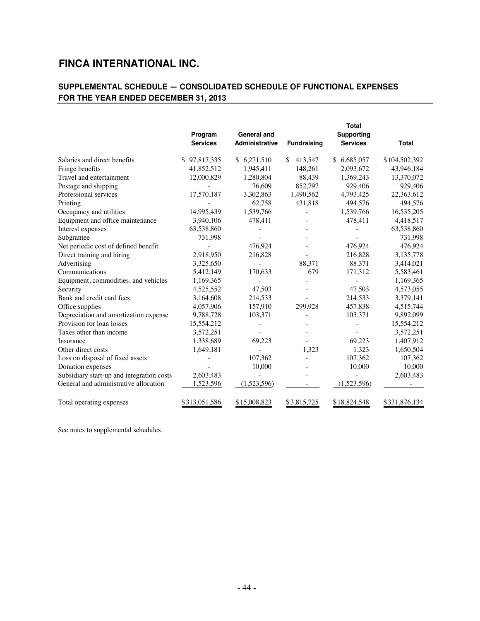# **SUPPLEMENTAL SCHEDULE — CONSOLIDATED SCHEDULE OF FUNCTIONAL EXPENSES FOR THE YEAR ENDED DECEMBER 31, 2013**

|                                           | Program<br><b>Services</b> | <b>General and</b><br><b>Administrative</b> | <b>Fundraising</b> | <b>Total</b><br>Supporting<br><b>Services</b> | <b>Total</b>  |
|-------------------------------------------|----------------------------|---------------------------------------------|--------------------|-----------------------------------------------|---------------|
|                                           |                            |                                             |                    |                                               |               |
| Salaries and direct benefits              | \$97,817,335               | \$6,271,510                                 | 413,547<br>\$      | \$6,685,057                                   | \$104,502,392 |
| Fringe benefits                           | 41,852,512                 | 1,945,411                                   | 148.261            | 2,093,672                                     | 43,946,184    |
| Travel and entertainment                  | 12,000,829                 | 1,280,804                                   | 88,439             | 1,369,243                                     | 13,370,072    |
| Postage and shipping                      |                            | 76,609                                      | 852,797            | 929,406                                       | 929,406       |
| Professional services                     | 17,570,187                 | 3,302,863                                   | 1,490,562          | 4,793,425                                     | 22,363,612    |
| Printing                                  |                            | 62,758                                      | 431,818            | 494,576                                       | 494,576       |
| Occupancy and utilities                   | 14,995,439                 | 1,539,766                                   |                    | 1,539,766                                     | 16,535,205    |
| Equipment and office maintenance          | 3,940,106                  | 478,411                                     |                    | 478,411                                       | 4,418,517     |
| Interest expenses                         | 63,538,860                 |                                             |                    |                                               | 63,538,860    |
| Subgrantee                                | 731,998                    |                                             |                    |                                               | 731,998       |
| Net periodic cost of defined benefit      |                            | 476,924                                     |                    | 476,924                                       | 476,924       |
| Direct training and hiring                | 2,918,950                  | 216,828                                     |                    | 216,828                                       | 3,135,778     |
| Advertising                               | 3,325,650                  |                                             | 88,371             | 88,371                                        | 3,414,021     |
| Communications                            | 5,412,149                  | 170,633                                     | 679                | 171,312                                       | 5,583,461     |
| Equipment, commodities, and vehicles      | 1,169,365                  |                                             |                    |                                               | 1,169,365     |
| Security                                  | 4,525,552                  | 47,503                                      |                    | 47,503                                        | 4,573,055     |
| Bank and credit card fees                 | 3,164,608                  | 214,533                                     |                    | 214,533                                       | 3,379,141     |
| Office supplies                           | 4,057,906                  | 157,910                                     | 299.928            | 457,838                                       | 4,515,744     |
| Depreciation and amortization expense     | 9,788,728                  | 103,371                                     |                    | 103,371                                       | 9,892,099     |
| Provision for loan losses                 | 15,554,212                 |                                             |                    |                                               | 15,554,212    |
| Taxes other than income                   | 3,572,251                  |                                             |                    |                                               | 3,572,251     |
| Insurance                                 | 1,338,689                  | 69,223                                      |                    | 69,223                                        | 1,407,912     |
| Other direct costs                        | 1,649,181                  |                                             | 1,323              | 1,323                                         | 1,650,504     |
| Loss on disposal of fixed assets          |                            | 107,362                                     |                    | 107,362                                       | 107,362       |
| Donation expenses                         |                            | 10,000                                      |                    | 10,000                                        | 10,000        |
| Subsidiary start-up and integration costs | 2,603,483                  |                                             |                    |                                               | 2,603,483     |
| General and administrative allocation     | 1,523,596                  | (1,523,596)                                 |                    | (1,523,596)                                   |               |
| Total operating expenses                  | \$313,051,586              | \$15,008,823                                | \$3,815,725        | \$18,824,548                                  | \$331,876,134 |

See notes to supplemental schedules.